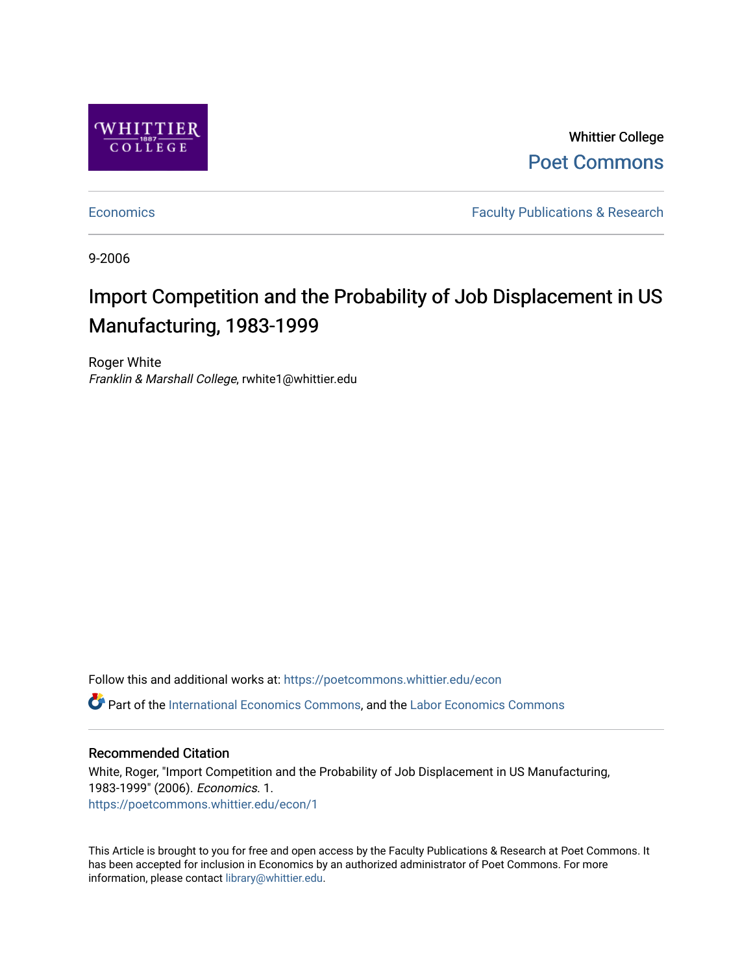

Whittier College [Poet Commons](https://poetcommons.whittier.edu/) 

[Economics](https://poetcommons.whittier.edu/econ) **Faculty Publications & Research** 

9-2006

# Import Competition and the Probability of Job Displacement in US Manufacturing, 1983-1999

Roger White Franklin & Marshall College, rwhite1@whittier.edu

Follow this and additional works at: [https://poetcommons.whittier.edu/econ](https://poetcommons.whittier.edu/econ?utm_source=poetcommons.whittier.edu%2Fecon%2F1&utm_medium=PDF&utm_campaign=PDFCoverPages) Part of the [International Economics Commons,](http://network.bepress.com/hgg/discipline/348?utm_source=poetcommons.whittier.edu%2Fecon%2F1&utm_medium=PDF&utm_campaign=PDFCoverPages) and the [Labor Economics Commons](http://network.bepress.com/hgg/discipline/349?utm_source=poetcommons.whittier.edu%2Fecon%2F1&utm_medium=PDF&utm_campaign=PDFCoverPages) 

#### Recommended Citation

White, Roger, "Import Competition and the Probability of Job Displacement in US Manufacturing, 1983-1999" (2006). Economics. 1. [https://poetcommons.whittier.edu/econ/1](https://poetcommons.whittier.edu/econ/1?utm_source=poetcommons.whittier.edu%2Fecon%2F1&utm_medium=PDF&utm_campaign=PDFCoverPages) 

This Article is brought to you for free and open access by the Faculty Publications & Research at Poet Commons. It has been accepted for inclusion in Economics by an authorized administrator of Poet Commons. For more information, please contact [library@whittier.edu.](mailto:library@whittier.edu)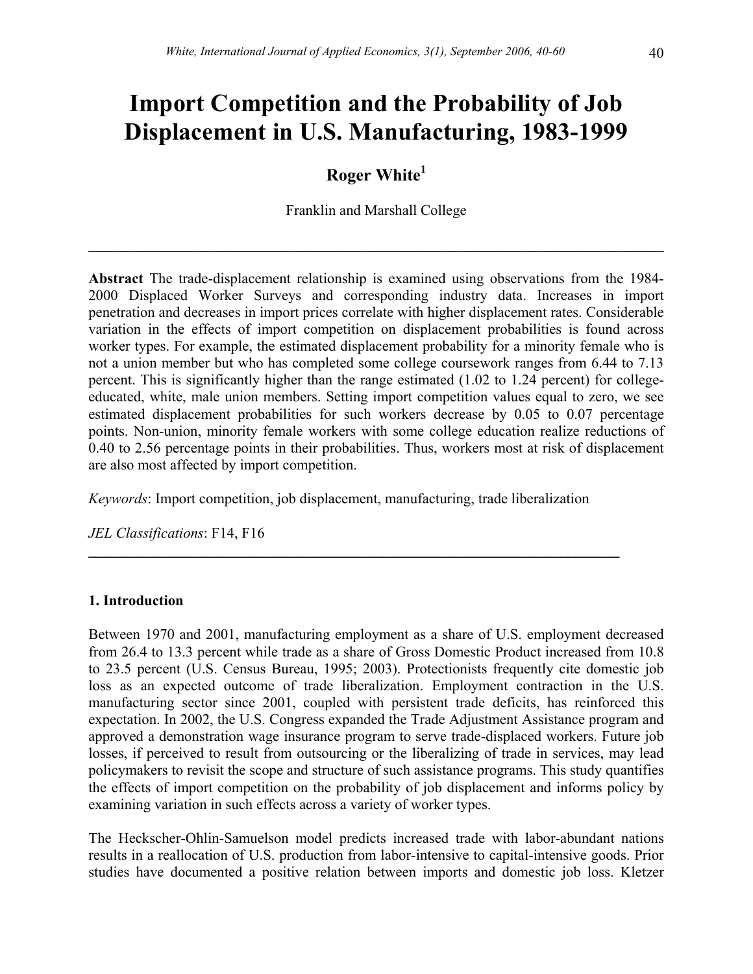# **Import Competition and the Probability of Job Displacement in U.S. Manufacturing, 1983-1999**

# **Roger White1**

Franklin and Marshall College

 $\mathcal{L}_\mathcal{L} = \mathcal{L}_\mathcal{L} = \mathcal{L}_\mathcal{L} = \mathcal{L}_\mathcal{L} = \mathcal{L}_\mathcal{L} = \mathcal{L}_\mathcal{L} = \mathcal{L}_\mathcal{L} = \mathcal{L}_\mathcal{L} = \mathcal{L}_\mathcal{L} = \mathcal{L}_\mathcal{L} = \mathcal{L}_\mathcal{L} = \mathcal{L}_\mathcal{L} = \mathcal{L}_\mathcal{L} = \mathcal{L}_\mathcal{L} = \mathcal{L}_\mathcal{L} = \mathcal{L}_\mathcal{L} = \mathcal{L}_\mathcal{L}$ 

**Abstract** The trade-displacement relationship is examined using observations from the 1984- 2000 Displaced Worker Surveys and corresponding industry data. Increases in import penetration and decreases in import prices correlate with higher displacement rates. Considerable variation in the effects of import competition on displacement probabilities is found across worker types. For example, the estimated displacement probability for a minority female who is not a union member but who has completed some college coursework ranges from 6.44 to 7.13 percent. This is significantly higher than the range estimated (1.02 to 1.24 percent) for collegeeducated, white, male union members. Setting import competition values equal to zero, we see estimated displacement probabilities for such workers decrease by 0.05 to 0.07 percentage points. Non-union, minority female workers with some college education realize reductions of 0.40 to 2.56 percentage points in their probabilities. Thus, workers most at risk of displacement are also most affected by import competition.

*Keywords*: Import competition, job displacement, manufacturing, trade liberalization

**\_\_\_\_\_\_\_\_\_\_\_\_\_\_\_\_\_\_\_\_\_\_\_\_\_\_\_\_\_\_\_\_\_\_\_\_\_\_\_\_\_\_\_\_\_\_\_\_\_\_\_\_\_\_\_\_\_\_\_\_\_\_\_\_\_\_\_\_\_\_\_\_** 

*JEL Classifications*: F14, F16

# **1. Introduction**

Between 1970 and 2001, manufacturing employment as a share of U.S. employment decreased from 26.4 to 13.3 percent while trade as a share of Gross Domestic Product increased from 10.8 to 23.5 percent (U.S. Census Bureau, 1995; 2003). Protectionists frequently cite domestic job loss as an expected outcome of trade liberalization. Employment contraction in the U.S. manufacturing sector since 2001, coupled with persistent trade deficits, has reinforced this expectation. In 2002, the U.S. Congress expanded the Trade Adjustment Assistance program and approved a demonstration wage insurance program to serve trade-displaced workers. Future job losses, if perceived to result from outsourcing or the liberalizing of trade in services, may lead policymakers to revisit the scope and structure of such assistance programs. This study quantifies the effects of import competition on the probability of job displacement and informs policy by examining variation in such effects across a variety of worker types.

The Heckscher-Ohlin-Samuelson model predicts increased trade with labor-abundant nations results in a reallocation of U.S. production from labor-intensive to capital-intensive goods. Prior studies have documented a positive relation between imports and domestic job loss. Kletzer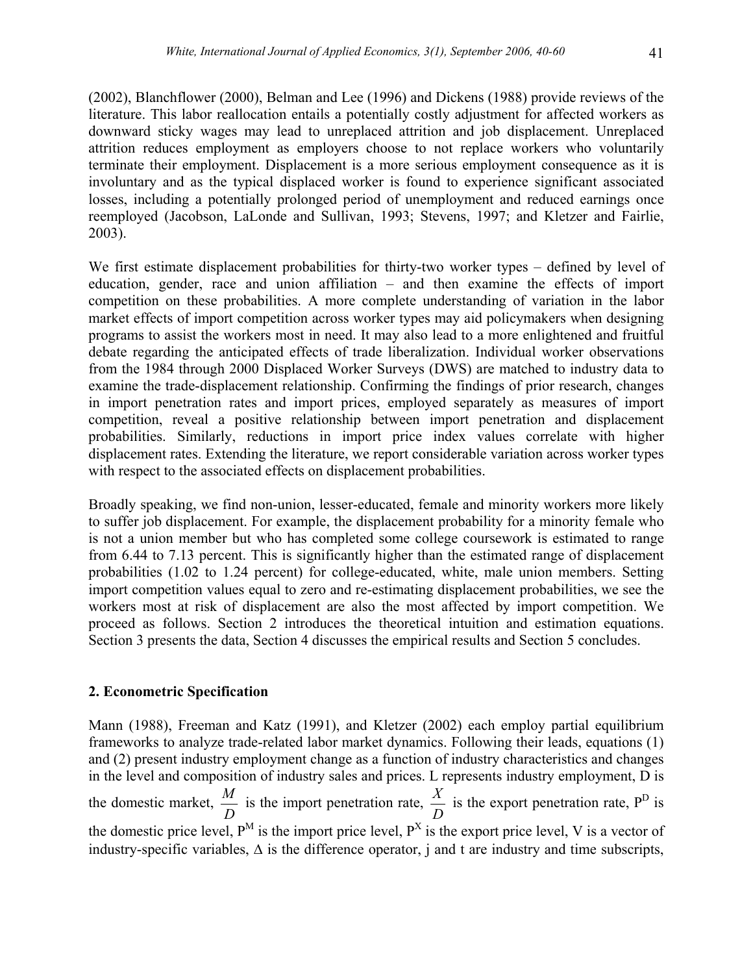(2002), Blanchflower (2000), Belman and Lee (1996) and Dickens (1988) provide reviews of the literature. This labor reallocation entails a potentially costly adjustment for affected workers as downward sticky wages may lead to unreplaced attrition and job displacement. Unreplaced attrition reduces employment as employers choose to not replace workers who voluntarily terminate their employment. Displacement is a more serious employment consequence as it is involuntary and as the typical displaced worker is found to experience significant associated losses, including a potentially prolonged period of unemployment and reduced earnings once reemployed (Jacobson, LaLonde and Sullivan, 1993; Stevens, 1997; and Kletzer and Fairlie, 2003).

We first estimate displacement probabilities for thirty-two worker types – defined by level of education, gender, race and union affiliation – and then examine the effects of import competition on these probabilities. A more complete understanding of variation in the labor market effects of import competition across worker types may aid policymakers when designing programs to assist the workers most in need. It may also lead to a more enlightened and fruitful debate regarding the anticipated effects of trade liberalization. Individual worker observations from the 1984 through 2000 Displaced Worker Surveys (DWS) are matched to industry data to examine the trade-displacement relationship. Confirming the findings of prior research, changes in import penetration rates and import prices, employed separately as measures of import competition, reveal a positive relationship between import penetration and displacement probabilities. Similarly, reductions in import price index values correlate with higher displacement rates. Extending the literature, we report considerable variation across worker types with respect to the associated effects on displacement probabilities.

Broadly speaking, we find non-union, lesser-educated, female and minority workers more likely to suffer job displacement. For example, the displacement probability for a minority female who is not a union member but who has completed some college coursework is estimated to range from 6.44 to 7.13 percent. This is significantly higher than the estimated range of displacement probabilities (1.02 to 1.24 percent) for college-educated, white, male union members. Setting import competition values equal to zero and re-estimating displacement probabilities, we see the workers most at risk of displacement are also the most affected by import competition. We proceed as follows. Section 2 introduces the theoretical intuition and estimation equations. Section 3 presents the data, Section 4 discusses the empirical results and Section 5 concludes.

# **2. Econometric Specification**

Mann (1988), Freeman and Katz (1991), and Kletzer (2002) each employ partial equilibrium frameworks to analyze trade-related labor market dynamics. Following their leads, equations (1) and (2) present industry employment change as a function of industry characteristics and changes in the level and composition of industry sales and prices. L represents industry employment, D is the domestic market,  $\frac{M}{D}$  is the import penetration rate,  $\frac{X}{D}$  is the export penetration rate, P<sup>D</sup> is the domestic price level,  $P^M$  is the import price level,  $P^X$  is the export price level, V is a vector of industry-specific variables, ∆ is the difference operator, j and t are industry and time subscripts,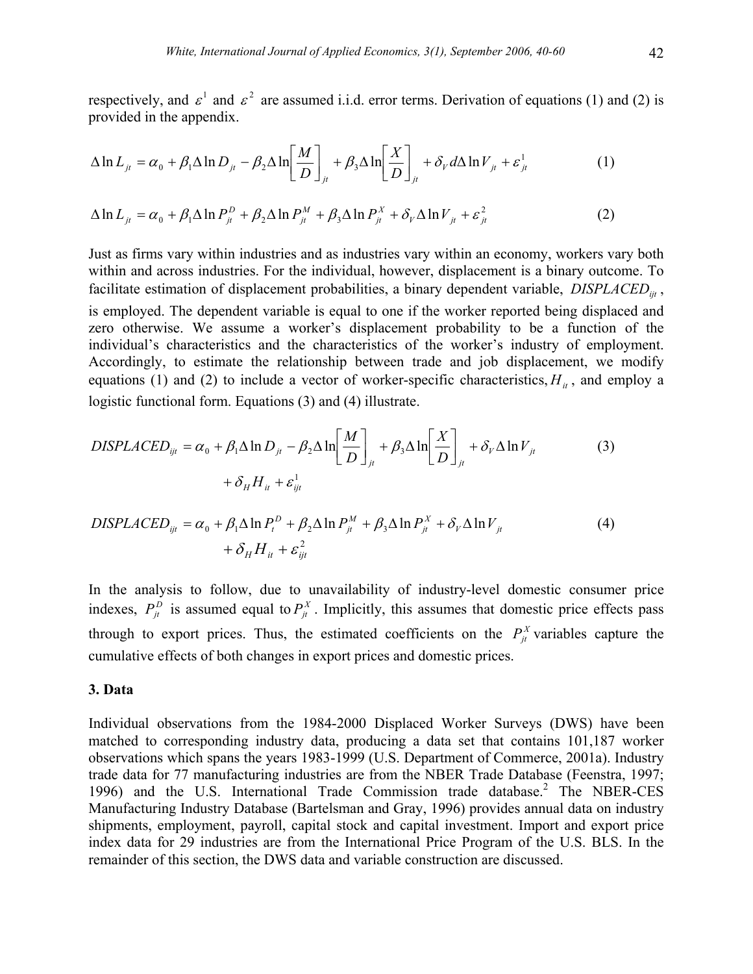respectively, and  $\varepsilon^1$  and  $\varepsilon^2$  are assumed i.i.d. error terms. Derivation of equations (1) and (2) is provided in the appendix.

$$
\Delta \ln L_{jt} = \alpha_0 + \beta_1 \Delta \ln D_{jt} - \beta_2 \Delta \ln \left[ \frac{M}{D} \right]_{jt} + \beta_3 \Delta \ln \left[ \frac{X}{D} \right]_{jt} + \delta_V d\Delta \ln V_{jt} + \varepsilon_{jt}^1 \tag{1}
$$

$$
\Delta \ln L_{it} = \alpha_0 + \beta_1 \Delta \ln P_{it}^D + \beta_2 \Delta \ln P_{it}^M + \beta_3 \Delta \ln P_{it}^X + \delta_V \Delta \ln V_{it} + \varepsilon_{it}^2 \tag{2}
$$

Just as firms vary within industries and as industries vary within an economy, workers vary both within and across industries. For the individual, however, displacement is a binary outcome. To facilitate estimation of displacement probabilities, a binary dependent variable, *DISPLACED*<sub>iit</sub>,

is employed. The dependent variable is equal to one if the worker reported being displaced and zero otherwise. We assume a worker's displacement probability to be a function of the individual's characteristics and the characteristics of the worker's industry of employment. Accordingly, to estimate the relationship between trade and job displacement, we modify equations (1) and (2) to include a vector of worker-specific characteristics,  $H_{ii}$ , and employ a logistic functional form. Equations (3) and (4) illustrate.

$$
DISPLACED_{ijt} = \alpha_0 + \beta_1 \Delta \ln D_{jt} - \beta_2 \Delta \ln \left[ \frac{M}{D} \right]_{jt} + \beta_3 \Delta \ln \left[ \frac{X}{D} \right]_{jt} + \delta_V \Delta \ln V_{jt}
$$
(3)  
+  $\delta_H H_{it} + \varepsilon_{ijt}^1$ 

$$
DISPLACED_{ijt} = \alpha_0 + \beta_1 \Delta \ln P_t^D + \beta_2 \Delta \ln P_{jt}^M + \beta_3 \Delta \ln P_{jt}^X + \delta_V \Delta \ln V_{jt}
$$
  
+  $\delta_H H_{it} + \varepsilon_{ijt}^2$  (4)

In the analysis to follow, due to unavailability of industry-level domestic consumer price indexes,  $P_{\mu}^{D}$  is assumed equal to  $P_{\mu}^{X}$ . Implicitly, this assumes that domestic price effects pass through to export prices. Thus, the estimated coefficients on the  $P_{it}^{X}$  variables capture the cumulative effects of both changes in export prices and domestic prices.

# **3. Data**

Individual observations from the 1984-2000 Displaced Worker Surveys (DWS) have been matched to corresponding industry data, producing a data set that contains 101,187 worker observations which spans the years 1983-1999 (U.S. Department of Commerce, 2001a). Industry trade data for 77 manufacturing industries are from the NBER Trade Database (Feenstra, 1997; 1996) and the U.S. International Trade Commission trade database.<sup>2</sup> The NBER-CES Manufacturing Industry Database (Bartelsman and Gray, 1996) provides annual data on industry shipments, employment, payroll, capital stock and capital investment. Import and export price index data for 29 industries are from the International Price Program of the U.S. BLS. In the remainder of this section, the DWS data and variable construction are discussed.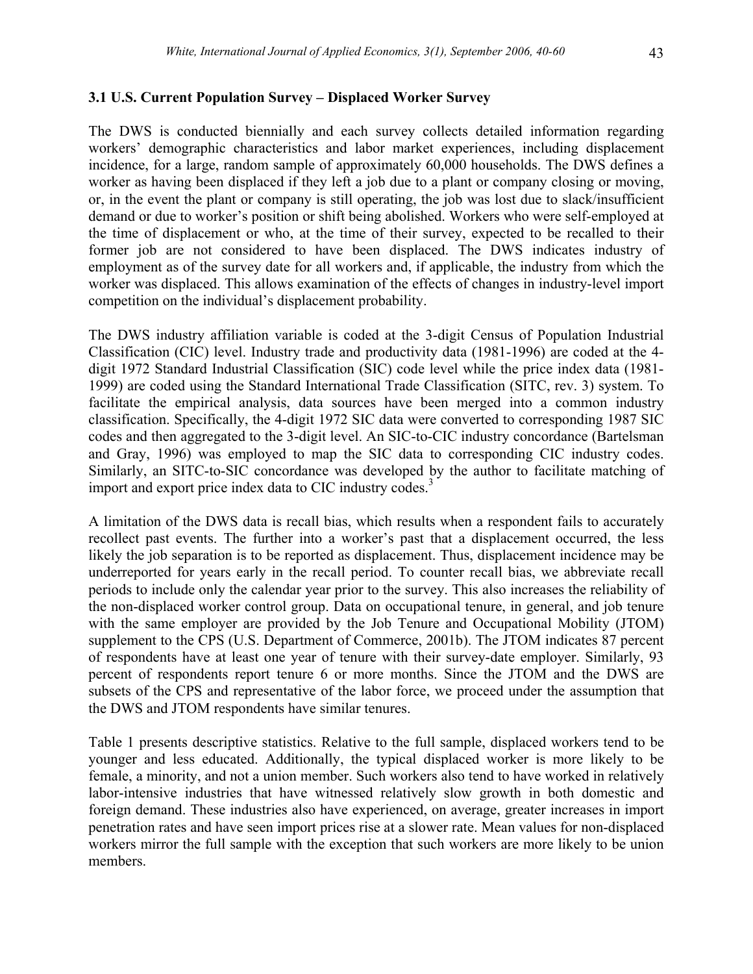# **3.1 U.S. Current Population Survey – Displaced Worker Survey**

The DWS is conducted biennially and each survey collects detailed information regarding workers' demographic characteristics and labor market experiences, including displacement incidence, for a large, random sample of approximately 60,000 households. The DWS defines a worker as having been displaced if they left a job due to a plant or company closing or moving, or, in the event the plant or company is still operating, the job was lost due to slack/insufficient demand or due to worker's position or shift being abolished. Workers who were self-employed at the time of displacement or who, at the time of their survey, expected to be recalled to their former job are not considered to have been displaced. The DWS indicates industry of employment as of the survey date for all workers and, if applicable, the industry from which the worker was displaced. This allows examination of the effects of changes in industry-level import competition on the individual's displacement probability.

The DWS industry affiliation variable is coded at the 3-digit Census of Population Industrial Classification (CIC) level. Industry trade and productivity data (1981-1996) are coded at the 4 digit 1972 Standard Industrial Classification (SIC) code level while the price index data (1981- 1999) are coded using the Standard International Trade Classification (SITC, rev. 3) system. To facilitate the empirical analysis, data sources have been merged into a common industry classification. Specifically, the 4-digit 1972 SIC data were converted to corresponding 1987 SIC codes and then aggregated to the 3-digit level. An SIC-to-CIC industry concordance (Bartelsman and Gray, 1996) was employed to map the SIC data to corresponding CIC industry codes. Similarly, an SITC-to-SIC concordance was developed by the author to facilitate matching of import and export price index data to CIC industry codes.<sup>3</sup>

A limitation of the DWS data is recall bias, which results when a respondent fails to accurately recollect past events. The further into a worker's past that a displacement occurred, the less likely the job separation is to be reported as displacement. Thus, displacement incidence may be underreported for years early in the recall period. To counter recall bias, we abbreviate recall periods to include only the calendar year prior to the survey. This also increases the reliability of the non-displaced worker control group. Data on occupational tenure, in general, and job tenure with the same employer are provided by the Job Tenure and Occupational Mobility (JTOM) supplement to the CPS (U.S. Department of Commerce, 2001b). The JTOM indicates 87 percent of respondents have at least one year of tenure with their survey-date employer. Similarly, 93 percent of respondents report tenure 6 or more months. Since the JTOM and the DWS are subsets of the CPS and representative of the labor force, we proceed under the assumption that the DWS and JTOM respondents have similar tenures.

Table 1 presents descriptive statistics. Relative to the full sample, displaced workers tend to be younger and less educated. Additionally, the typical displaced worker is more likely to be female, a minority, and not a union member. Such workers also tend to have worked in relatively labor-intensive industries that have witnessed relatively slow growth in both domestic and foreign demand. These industries also have experienced, on average, greater increases in import penetration rates and have seen import prices rise at a slower rate. Mean values for non-displaced workers mirror the full sample with the exception that such workers are more likely to be union members.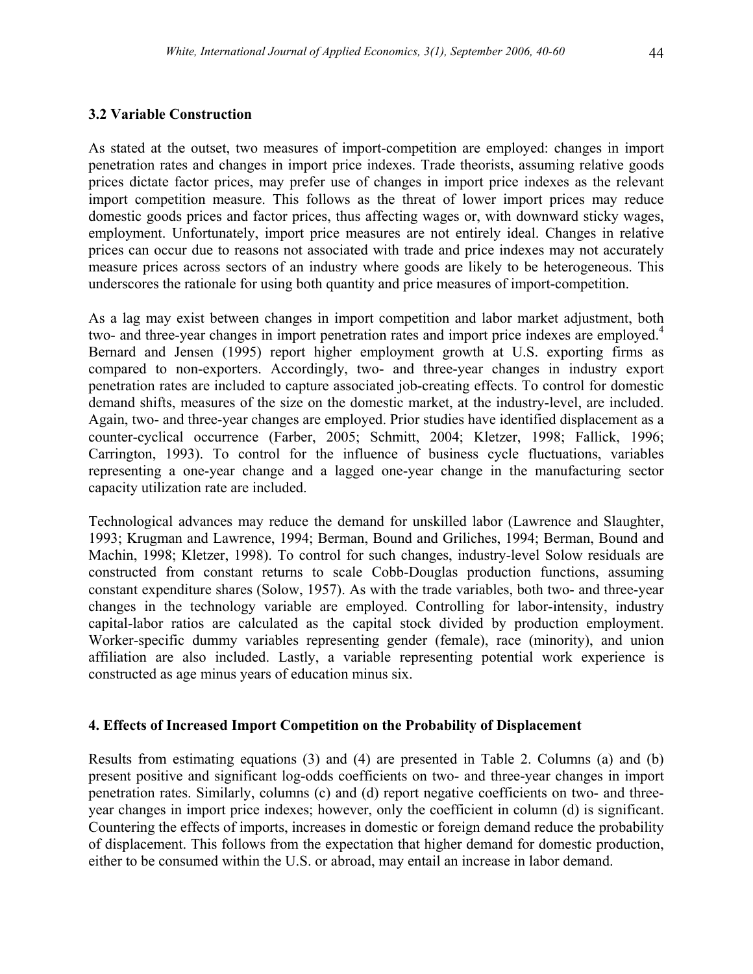#### **3.2 Variable Construction**

As stated at the outset, two measures of import-competition are employed: changes in import penetration rates and changes in import price indexes. Trade theorists, assuming relative goods prices dictate factor prices, may prefer use of changes in import price indexes as the relevant import competition measure. This follows as the threat of lower import prices may reduce domestic goods prices and factor prices, thus affecting wages or, with downward sticky wages, employment. Unfortunately, import price measures are not entirely ideal. Changes in relative prices can occur due to reasons not associated with trade and price indexes may not accurately measure prices across sectors of an industry where goods are likely to be heterogeneous. This underscores the rationale for using both quantity and price measures of import-competition.

As a lag may exist between changes in import competition and labor market adjustment, both two- and three-year changes in import penetration rates and import price indexes are employed.<sup>4</sup> Bernard and Jensen (1995) report higher employment growth at U.S. exporting firms as compared to non-exporters. Accordingly, two- and three-year changes in industry export penetration rates are included to capture associated job-creating effects. To control for domestic demand shifts, measures of the size on the domestic market, at the industry-level, are included. Again, two- and three-year changes are employed. Prior studies have identified displacement as a counter-cyclical occurrence (Farber, 2005; Schmitt, 2004; Kletzer, 1998; Fallick, 1996; Carrington, 1993). To control for the influence of business cycle fluctuations, variables representing a one-year change and a lagged one-year change in the manufacturing sector capacity utilization rate are included.

Technological advances may reduce the demand for unskilled labor (Lawrence and Slaughter, 1993; Krugman and Lawrence, 1994; Berman, Bound and Griliches, 1994; Berman, Bound and Machin, 1998; Kletzer, 1998). To control for such changes, industry-level Solow residuals are constructed from constant returns to scale Cobb-Douglas production functions, assuming constant expenditure shares (Solow, 1957). As with the trade variables, both two- and three-year changes in the technology variable are employed. Controlling for labor-intensity, industry capital-labor ratios are calculated as the capital stock divided by production employment. Worker-specific dummy variables representing gender (female), race (minority), and union affiliation are also included. Lastly, a variable representing potential work experience is constructed as age minus years of education minus six.

#### **4. Effects of Increased Import Competition on the Probability of Displacement**

Results from estimating equations (3) and (4) are presented in Table 2. Columns (a) and (b) present positive and significant log-odds coefficients on two- and three-year changes in import penetration rates. Similarly, columns (c) and (d) report negative coefficients on two- and threeyear changes in import price indexes; however, only the coefficient in column (d) is significant. Countering the effects of imports, increases in domestic or foreign demand reduce the probability of displacement. This follows from the expectation that higher demand for domestic production, either to be consumed within the U.S. or abroad, may entail an increase in labor demand.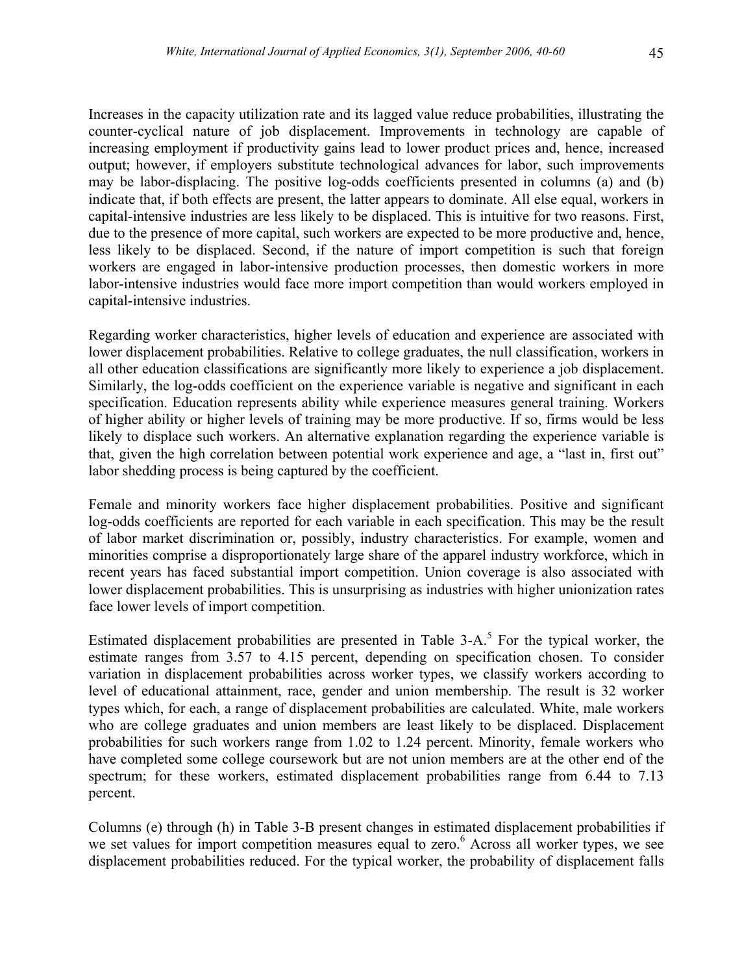Increases in the capacity utilization rate and its lagged value reduce probabilities, illustrating the counter-cyclical nature of job displacement. Improvements in technology are capable of increasing employment if productivity gains lead to lower product prices and, hence, increased output; however, if employers substitute technological advances for labor, such improvements may be labor-displacing. The positive log-odds coefficients presented in columns (a) and (b) indicate that, if both effects are present, the latter appears to dominate. All else equal, workers in capital-intensive industries are less likely to be displaced. This is intuitive for two reasons. First, due to the presence of more capital, such workers are expected to be more productive and, hence, less likely to be displaced. Second, if the nature of import competition is such that foreign workers are engaged in labor-intensive production processes, then domestic workers in more labor-intensive industries would face more import competition than would workers employed in capital-intensive industries.

Regarding worker characteristics, higher levels of education and experience are associated with lower displacement probabilities. Relative to college graduates, the null classification, workers in all other education classifications are significantly more likely to experience a job displacement. Similarly, the log-odds coefficient on the experience variable is negative and significant in each specification. Education represents ability while experience measures general training. Workers of higher ability or higher levels of training may be more productive. If so, firms would be less likely to displace such workers. An alternative explanation regarding the experience variable is that, given the high correlation between potential work experience and age, a "last in, first out" labor shedding process is being captured by the coefficient.

Female and minority workers face higher displacement probabilities. Positive and significant log-odds coefficients are reported for each variable in each specification. This may be the result of labor market discrimination or, possibly, industry characteristics. For example, women and minorities comprise a disproportionately large share of the apparel industry workforce, which in recent years has faced substantial import competition. Union coverage is also associated with lower displacement probabilities. This is unsurprising as industries with higher unionization rates face lower levels of import competition.

Estimated displacement probabilities are presented in Table  $3-A$ .<sup>5</sup> For the typical worker, the estimate ranges from 3.57 to 4.15 percent, depending on specification chosen. To consider variation in displacement probabilities across worker types, we classify workers according to level of educational attainment, race, gender and union membership. The result is 32 worker types which, for each, a range of displacement probabilities are calculated. White, male workers who are college graduates and union members are least likely to be displaced. Displacement probabilities for such workers range from 1.02 to 1.24 percent. Minority, female workers who have completed some college coursework but are not union members are at the other end of the spectrum; for these workers, estimated displacement probabilities range from 6.44 to 7.13 percent.

Columns (e) through (h) in Table 3-B present changes in estimated displacement probabilities if we set values for import competition measures equal to zero.<sup>6</sup> Across all worker types, we see displacement probabilities reduced. For the typical worker, the probability of displacement falls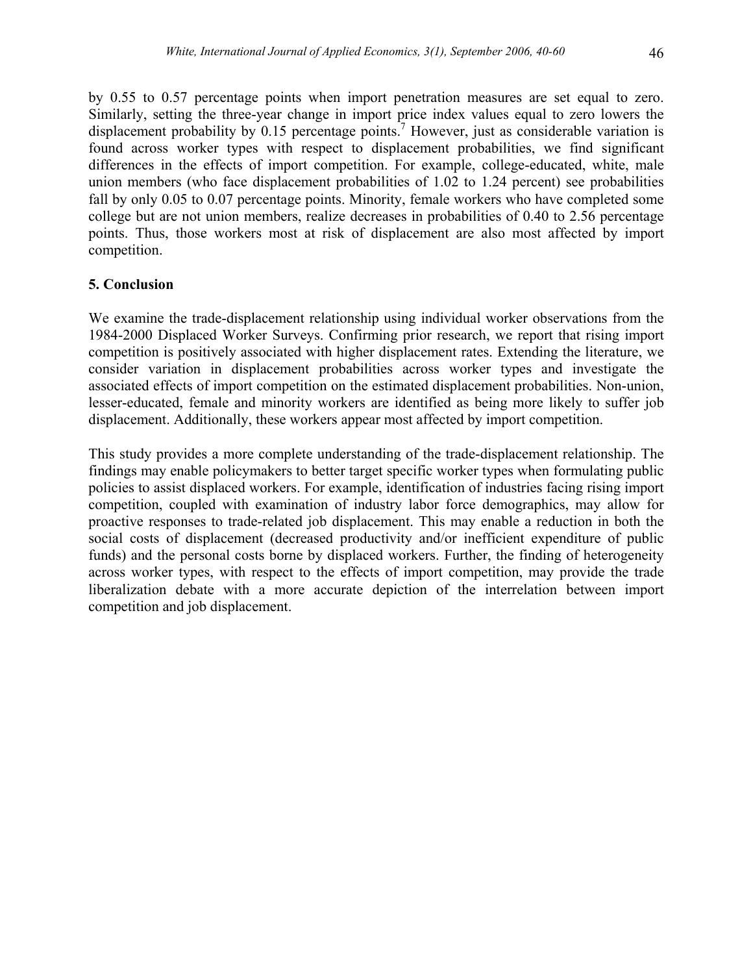by 0.55 to 0.57 percentage points when import penetration measures are set equal to zero. Similarly, setting the three-year change in import price index values equal to zero lowers the displacement probability by  $0.15$  percentage points.<sup>7</sup> However, just as considerable variation is found across worker types with respect to displacement probabilities, we find significant differences in the effects of import competition. For example, college-educated, white, male union members (who face displacement probabilities of 1.02 to 1.24 percent) see probabilities fall by only 0.05 to 0.07 percentage points. Minority, female workers who have completed some college but are not union members, realize decreases in probabilities of 0.40 to 2.56 percentage points. Thus, those workers most at risk of displacement are also most affected by import competition.

# **5. Conclusion**

We examine the trade-displacement relationship using individual worker observations from the 1984-2000 Displaced Worker Surveys. Confirming prior research, we report that rising import competition is positively associated with higher displacement rates. Extending the literature, we consider variation in displacement probabilities across worker types and investigate the associated effects of import competition on the estimated displacement probabilities. Non-union, lesser-educated, female and minority workers are identified as being more likely to suffer job displacement. Additionally, these workers appear most affected by import competition.

This study provides a more complete understanding of the trade-displacement relationship. The findings may enable policymakers to better target specific worker types when formulating public policies to assist displaced workers. For example, identification of industries facing rising import competition, coupled with examination of industry labor force demographics, may allow for proactive responses to trade-related job displacement. This may enable a reduction in both the social costs of displacement (decreased productivity and/or inefficient expenditure of public funds) and the personal costs borne by displaced workers. Further, the finding of heterogeneity across worker types, with respect to the effects of import competition, may provide the trade liberalization debate with a more accurate depiction of the interrelation between import competition and job displacement.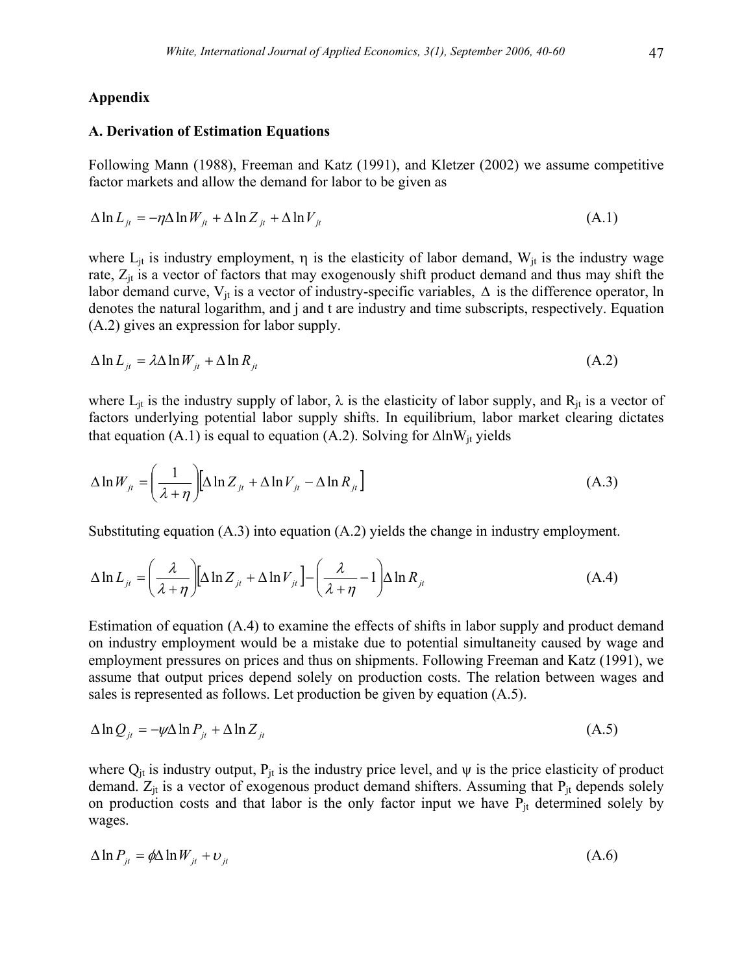#### **Appendix**

#### **A. Derivation of Estimation Equations**

Following Mann (1988), Freeman and Katz (1991), and Kletzer (2002) we assume competitive factor markets and allow the demand for labor to be given as

$$
\Delta \ln L_{ji} = -\eta \Delta \ln W_{ji} + \Delta \ln Z_{ji} + \Delta \ln V_{ji}
$$
\n(A.1)

where  $L_{it}$  is industry employment,  $\eta$  is the elasticity of labor demand,  $W_{it}$  is the industry wage rate,  $Z_{it}$  is a vector of factors that may exogenously shift product demand and thus may shift the labor demand curve,  $V_{it}$  is a vector of industry-specific variables,  $\Delta$  is the difference operator, ln denotes the natural logarithm, and j and t are industry and time subscripts, respectively. Equation (A.2) gives an expression for labor supply.

$$
\Delta \ln L_{it} = \lambda \Delta \ln W_{it} + \Delta \ln R_{it} \tag{A.2}
$$

where  $L_{it}$  is the industry supply of labor,  $\lambda$  is the elasticity of labor supply, and  $R_{it}$  is a vector of factors underlying potential labor supply shifts. In equilibrium, labor market clearing dictates that equation (A.1) is equal to equation (A.2). Solving for  $\Delta \ln W_{it}$  yields

$$
\Delta \ln W_{jt} = \left(\frac{1}{\lambda + \eta}\right) \left[\Delta \ln Z_{jt} + \Delta \ln V_{jt} - \Delta \ln R_{jt}\right]
$$
\n(A.3)

Substituting equation (A.3) into equation (A.2) yields the change in industry employment.

$$
\Delta \ln L_{ji} = \left(\frac{\lambda}{\lambda + \eta}\right) \left[\Delta \ln Z_{ji} + \Delta \ln V_{ji}\right] - \left(\frac{\lambda}{\lambda + \eta} - 1\right) \Delta \ln R_{ji}
$$
\n(A.4)

Estimation of equation (A.4) to examine the effects of shifts in labor supply and product demand on industry employment would be a mistake due to potential simultaneity caused by wage and employment pressures on prices and thus on shipments. Following Freeman and Katz (1991), we assume that output prices depend solely on production costs. The relation between wages and sales is represented as follows. Let production be given by equation (A.5).

$$
\Delta \ln Q_{ji} = -\psi \Delta \ln P_{ji} + \Delta \ln Z_{ji}
$$
\n(A.5)

where  $Q_{it}$  is industry output,  $P_{it}$  is the industry price level, and  $\psi$  is the price elasticity of product demand.  $Z_{it}$  is a vector of exogenous product demand shifters. Assuming that  $P_{it}$  depends solely on production costs and that labor is the only factor input we have  $P_{it}$  determined solely by wages.

$$
\Delta \ln P_{jt} = \phi \Delta \ln W_{jt} + \upsilon_{jt} \tag{A.6}
$$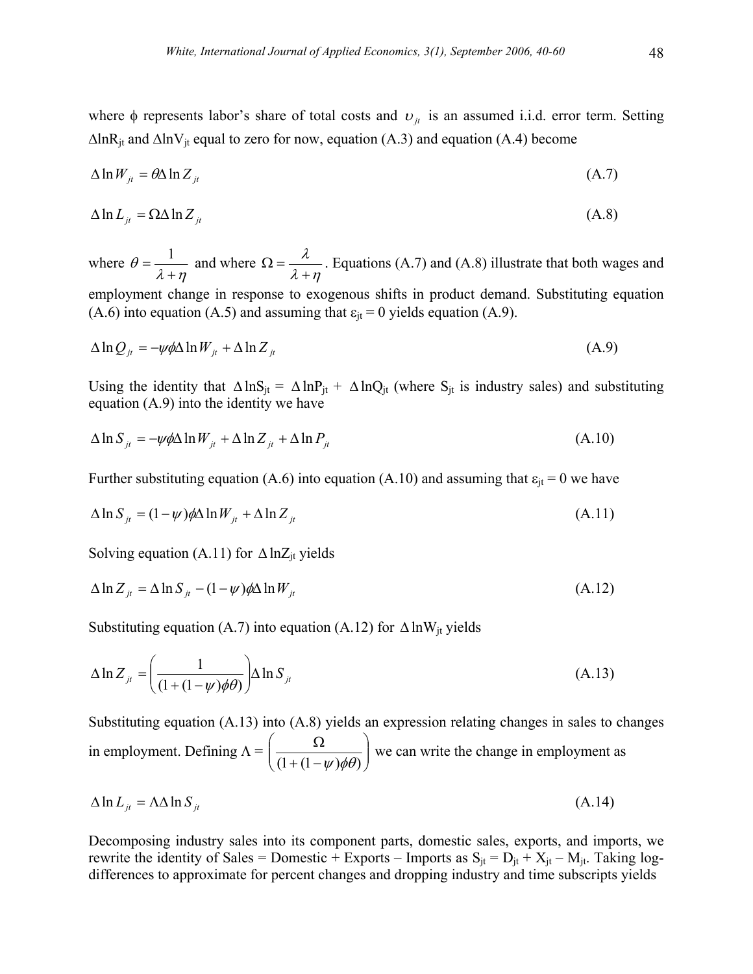where φ represents labor's share of total costs and  $v_{it}$  is an assumed i.i.d. error term. Setting  $\Delta \ln R_{it}$  and  $\Delta \ln V_{it}$  equal to zero for now, equation (A.3) and equation (A.4) become

$$
\Delta \ln W_{ji} = \theta \Delta \ln Z_{ji} \tag{A.7}
$$

$$
\Delta \ln L_{ji} = \Omega \Delta \ln Z_{ji} \tag{A.8}
$$

where  $\lambda$  +  $\eta$ θ  $=\frac{1}{\lambda + \eta}$  and where  $\Omega = \frac{\lambda}{\lambda + \eta}$ λ +  $\Omega = \frac{R}{\lambda}$ . Equations (A.7) and (A.8) illustrate that both wages and employment change in response to exogenous shifts in product demand. Substituting equation (A.6) into equation (A.5) and assuming that  $\varepsilon_{it} = 0$  yields equation (A.9).

$$
\Delta \ln Q_{ji} = -\psi \phi \Delta \ln W_{ji} + \Delta \ln Z_{ji}
$$
\n(A.9)

Using the identity that  $\Delta \ln S_{jt} = \Delta \ln P_{jt} + \Delta \ln Q_{jt}$  (where  $S_{jt}$  is industry sales) and substituting equation (A.9) into the identity we have

$$
\Delta \ln S_{it} = -\psi \phi \Delta \ln W_{it} + \Delta \ln Z_{it} + \Delta \ln P_{it}
$$
\n(A.10)

Further substituting equation (A.6) into equation (A.10) and assuming that  $\varepsilon_{it} = 0$  we have

$$
\Delta \ln S_{it} = (1 - \psi) \phi \Delta \ln W_{it} + \Delta \ln Z_{it}
$$
\n(A.11)

Solving equation (A.11) for  $\Delta$  lnZ<sub>it</sub> yields

$$
\Delta \ln Z_{it} = \Delta \ln S_{it} - (1 - \psi) \phi \Delta \ln W_{it}
$$
\n(A.12)

Substituting equation (A.7) into equation (A.12) for  $\Delta \ln W_{it}$  yields

$$
\Delta \ln Z_{jt} = \left(\frac{1}{(1 + (1 - \psi)\phi\theta)}\right) \Delta \ln S_{jt}
$$
\n(A.13)

Substituting equation (A.13) into (A.8) yields an expression relating changes in sales to changes in employment. Defining  $\Lambda = \frac{32}{(1 + (1 - \nu)\phi\theta)}$  $\bigg)$  $\setminus$  $\overline{\phantom{a}}$  $\setminus$ ſ  $+(1 \left(\frac{\Omega}{(1+(1-\psi)\phi\theta)}\right)$  we can write the change in employment as

$$
\Delta \ln L_{it} = \Lambda \Delta \ln S_{it} \tag{A.14}
$$

Decomposing industry sales into its component parts, domestic sales, exports, and imports, we rewrite the identity of Sales = Domestic + Exports – Imports as  $S_{it} = D_{it} + X_{it} - M_{it}$ . Taking logdifferences to approximate for percent changes and dropping industry and time subscripts yields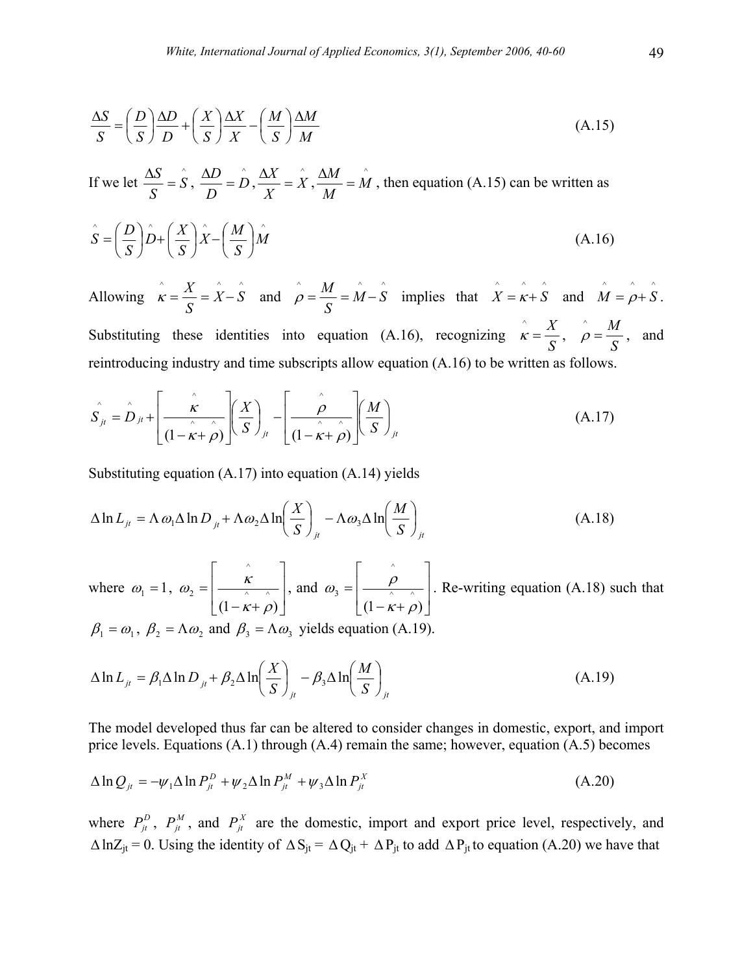$$
\frac{\Delta S}{S} = \left(\frac{D}{S}\right)\frac{\Delta D}{D} + \left(\frac{X}{S}\right)\frac{\Delta X}{X} - \left(\frac{M}{S}\right)\frac{\Delta M}{M}
$$
\n(A.15)

If we let  $\frac{\Delta S}{\Delta} = \hat{S}$ *S*  $\frac{\Delta S}{\sigma} = \hat{S}$ ,  $\frac{\Delta D}{\sigma} = \hat{D}$ *D*  $\frac{\Delta D}{\Delta} = \hat{D}, \frac{\Delta X}{X} = \hat{X}$ *X*  $\frac{\Delta X}{\Delta x} = \hat{X}, \frac{\Delta M}{\Delta x} = \hat{M}$ *M*  $\frac{\Delta M}{\Delta t} = M$ , then equation (A.15) can be written as

$$
\hat{S} = \left(\frac{D}{S}\right)\hat{D} + \left(\frac{X}{S}\right)\hat{X} - \left(\frac{M}{S}\right)\hat{M}
$$
\n(A.16)

Allowing  $\hat{\mathbf{x}} = \frac{X}{\hat{\mathbf{x}}} = \hat{\hat{\mathbf{X}}} - \hat{\hat{\mathbf{S}}}$ *S*  $\hat{\mathbf{x}} = \frac{X}{\hat{\mathbf{x}}} = \hat{\hat{\mathbf{X}}} - \hat{\hat{\mathbf{S}}}$  and  $\hat{\mathbf{p}} = \frac{M}{\hat{\mathbf{s}}} = \hat{\mathbf{M}} - \hat{\mathbf{S}}$ *S*  $\hat{\rho} = \frac{M}{g} = \hat{M} - \hat{S}$  implies that  $\hat{X} = \hat{k} + \hat{S}$  and  $\hat{M} = \hat{\rho} + \hat{S}$ . Substituting these identities into equation (A.16), recognizing  $\hat{k} = \frac{X}{S}$ ,  $\hat{\rho} = \frac{M}{S}$ , and reintroducing industry and time subscripts allow equation (A.16) to be written as follows.

$$
\hat{S}_{jt} = \hat{D}_{jt} + \left[ \frac{\hat{\kappa}}{(1 - \hat{\kappa} + \hat{\rho})} \left( \frac{X}{S} \right)_{jt} - \left[ \frac{\hat{\rho}}{(1 - \hat{\kappa} + \hat{\rho})} \left( \frac{M}{S} \right)_{jt} \right] \right]
$$
(A.17)

Substituting equation (A.17) into equation (A.14) yields

$$
\Delta \ln L_{ji} = \Lambda \omega_1 \Delta \ln D_{ji} + \Lambda \omega_2 \Delta \ln \left( \frac{X}{S} \right)_{ji} - \Lambda \omega_3 \Delta \ln \left( \frac{M}{S} \right)_{ji}
$$
 (A.18)

where  $\omega_1 = 1$ ,  $\omega_2 = \frac{K}{\frac{\lambda}{\sqrt{1-\lambda}}}$ J  $\overline{\phantom{a}}$  $\mathsf{L}$  $\mathsf{L}$ L  $\mathbf{r}$  $-\kappa +$ =  $(1 - \hat{k} + \hat{\rho})$ ^ 2  $\kappa + \rho$  $\omega_2 = \frac{K}{\frac{\lambda}{\lambda} \sqrt{\lambda}}$ , and  $\omega_3 = \frac{\rho}{\frac{\lambda}{\lambda} \sqrt{\lambda}}$ J  $\overline{\phantom{a}}$  $\mathsf{L}$  $\mathsf{L}$ L  $\mathbf{r}$  $-\kappa +$ =  $(1 - \hat{k} + \hat{\rho})$  $\wedge$ 3  $\kappa + \rho$  $\omega_1 = \frac{\rho}{\sqrt{2\pi}}$ . Re-writing equation (A.18) such that

 $\beta_1 = \omega_1$ ,  $\beta_2 = \Lambda \omega_2$  and  $\beta_3 = \Lambda \omega_3$  yields equation (A.19).

$$
\Delta \ln L_{ji} = \beta_1 \Delta \ln D_{ji} + \beta_2 \Delta \ln \left( \frac{X}{S} \right)_{jt} - \beta_3 \Delta \ln \left( \frac{M}{S} \right)_{jt}
$$
 (A.19)

The model developed thus far can be altered to consider changes in domestic, export, and import price levels. Equations  $(A.1)$  through  $(A.4)$  remain the same; however, equation  $(A.5)$  becomes

$$
\Delta \ln Q_{ji} = -\psi_1 \Delta \ln P_{ji}^D + \psi_2 \Delta \ln P_{ji}^M + \psi_3 \Delta \ln P_{ji}^X \tag{A.20}
$$

where  $P_{jt}^D$ ,  $P_{jt}^M$ , and  $P_{jt}^X$  are the domestic, import and export price level, respectively, and  $\Delta \ln Z_{jt} = 0$ . Using the identity of  $\Delta S_{jt} = \Delta Q_{jt} + \Delta P_{jt}$  to add  $\Delta P_{jt}$  to equation (A.20) we have that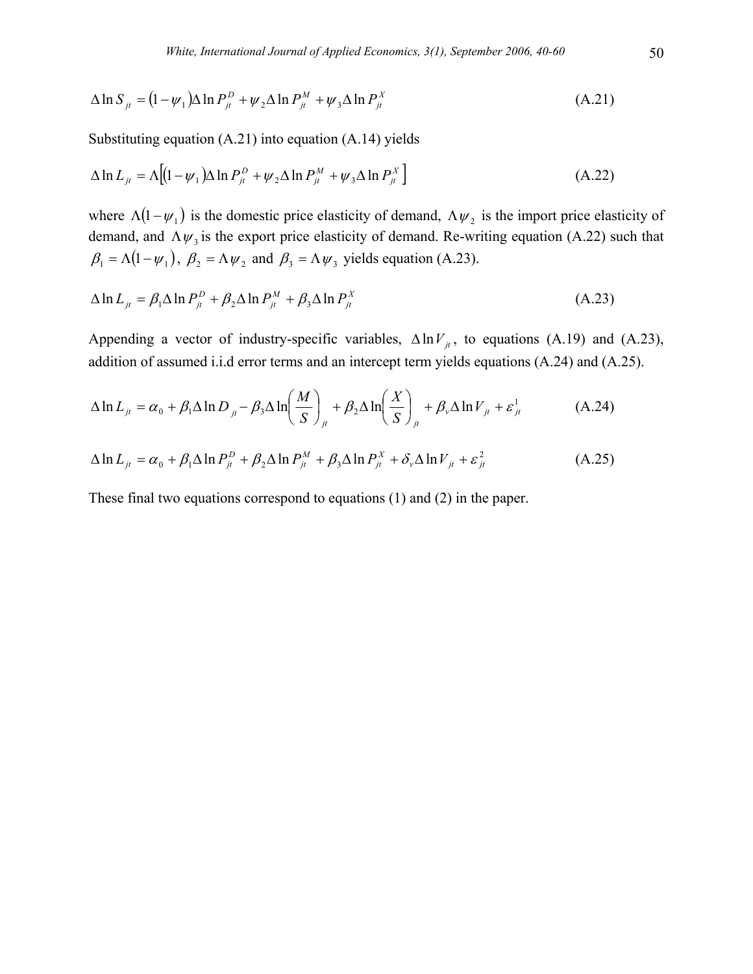$$
\Delta \ln S_{jt} = (1 - \psi_1) \Delta \ln P_{jt}^D + \psi_2 \Delta \ln P_{jt}^M + \psi_3 \Delta \ln P_{jt}^X
$$
\n(A.21)

Substituting equation (A.21) into equation (A.14) yields

$$
\Delta \ln L_{jt} = \Lambda \left[ (1 - \psi_1) \Delta \ln P_{jt}^D + \psi_2 \Delta \ln P_{jt}^M + \psi_3 \Delta \ln P_{jt}^X \right]
$$
\n(A.22)

where  $\Lambda(1 - \psi_1)$  is the domestic price elasticity of demand,  $\Lambda \psi_2$  is the import price elasticity of demand, and  $\Lambda \psi_3$  is the export price elasticity of demand. Re-writing equation (A.22) such that  $\beta_1 = \Lambda(1 - \psi_1)$ ,  $\beta_2 = \Lambda \psi_2$  and  $\beta_3 = \Lambda \psi_3$  yields equation (A.23).

$$
\Delta \ln L_{it} = \beta_1 \Delta \ln P_{it}^D + \beta_2 \Delta \ln P_{it}^M + \beta_3 \Delta \ln P_{it}^X \tag{A.23}
$$

Appending a vector of industry-specific variables,  $\Delta \ln V_{\mu}$ , to equations (A.19) and (A.23), addition of assumed i.i.d error terms and an intercept term yields equations (A.24) and (A.25).

$$
\Delta \ln L_{jt} = \alpha_0 + \beta_1 \Delta \ln D_{jt} - \beta_3 \Delta \ln \left( \frac{M}{S} \right)_{jt} + \beta_2 \Delta \ln \left( \frac{X}{S} \right)_{jt} + \beta_v \Delta \ln V_{jt} + \varepsilon_{jt}^1 \tag{A.24}
$$

$$
\Delta \ln L_{jt} = \alpha_0 + \beta_1 \Delta \ln P_{jt}^D + \beta_2 \Delta \ln P_{jt}^M + \beta_3 \Delta \ln P_{jt}^X + \delta_v \Delta \ln V_{jt} + \varepsilon_{jt}^2 \tag{A.25}
$$

These final two equations correspond to equations (1) and (2) in the paper.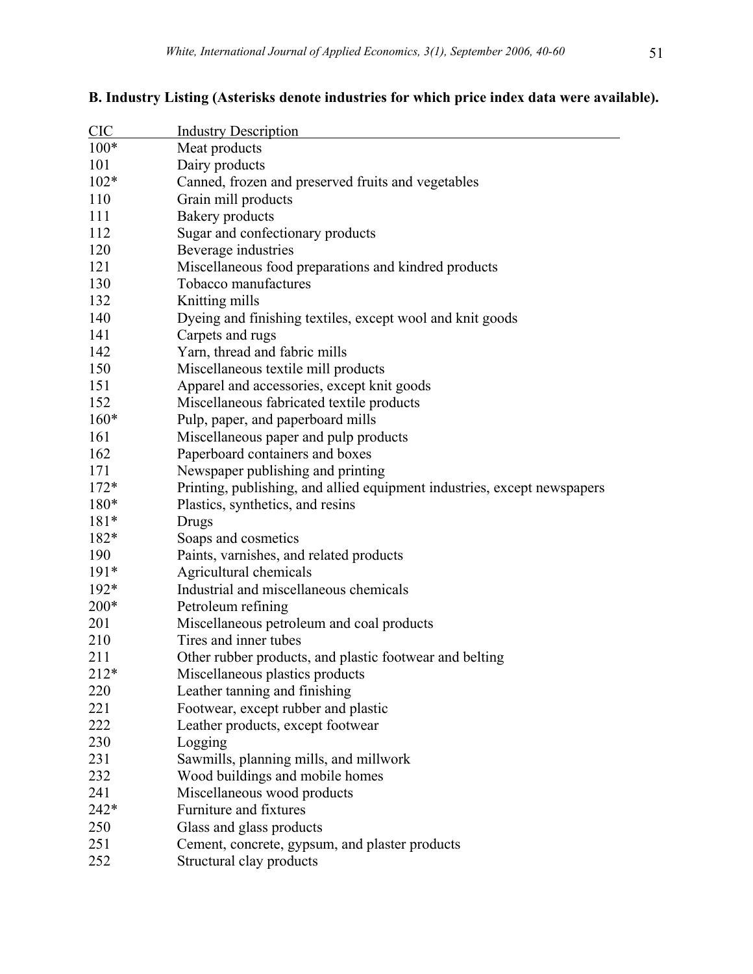| <b>CIC</b> | <b>Industry Description</b>                                              |
|------------|--------------------------------------------------------------------------|
| $100*$     | Meat products                                                            |
| 101        | Dairy products                                                           |
| $102*$     | Canned, frozen and preserved fruits and vegetables                       |
| 110        | Grain mill products                                                      |
| 111        | <b>Bakery</b> products                                                   |
| 112        | Sugar and confectionary products                                         |
| 120        | Beverage industries                                                      |
| 121        | Miscellaneous food preparations and kindred products                     |
| 130        | Tobacco manufactures                                                     |
| 132        | Knitting mills                                                           |
| 140        | Dyeing and finishing textiles, except wool and knit goods                |
| 141        | Carpets and rugs                                                         |
| 142        | Yarn, thread and fabric mills                                            |
| 150        | Miscellaneous textile mill products                                      |
| 151        | Apparel and accessories, except knit goods                               |
| 152        | Miscellaneous fabricated textile products                                |
| $160*$     | Pulp, paper, and paperboard mills                                        |
| 161        | Miscellaneous paper and pulp products                                    |
| 162        | Paperboard containers and boxes                                          |
| 171        | Newspaper publishing and printing                                        |
| $172*$     | Printing, publishing, and allied equipment industries, except newspapers |
| $180*$     | Plastics, synthetics, and resins                                         |
| $181*$     | Drugs                                                                    |
| 182*       | Soaps and cosmetics                                                      |
| 190        | Paints, varnishes, and related products                                  |
| $191*$     | Agricultural chemicals                                                   |
| 192*       | Industrial and miscellaneous chemicals                                   |
| 200*       | Petroleum refining                                                       |
| 201        | Miscellaneous petroleum and coal products                                |
| 210        | Tires and inner tubes                                                    |
| 211        | Other rubber products, and plastic footwear and belting                  |
| $212*$     | Miscellaneous plastics products                                          |
| 220        | Leather tanning and finishing                                            |
| 221        | Footwear, except rubber and plastic                                      |
| 222        | Leather products, except footwear                                        |
| 230        | Logging                                                                  |
| 231        | Sawmills, planning mills, and millwork                                   |
| 232        | Wood buildings and mobile homes                                          |
| 241        | Miscellaneous wood products                                              |
| 242*       | Furniture and fixtures                                                   |
| 250        | Glass and glass products                                                 |
| 251        | Cement, concrete, gypsum, and plaster products                           |
| 252        | Structural clay products                                                 |

# **B. Industry Listing (Asterisks denote industries for which price index data were available).**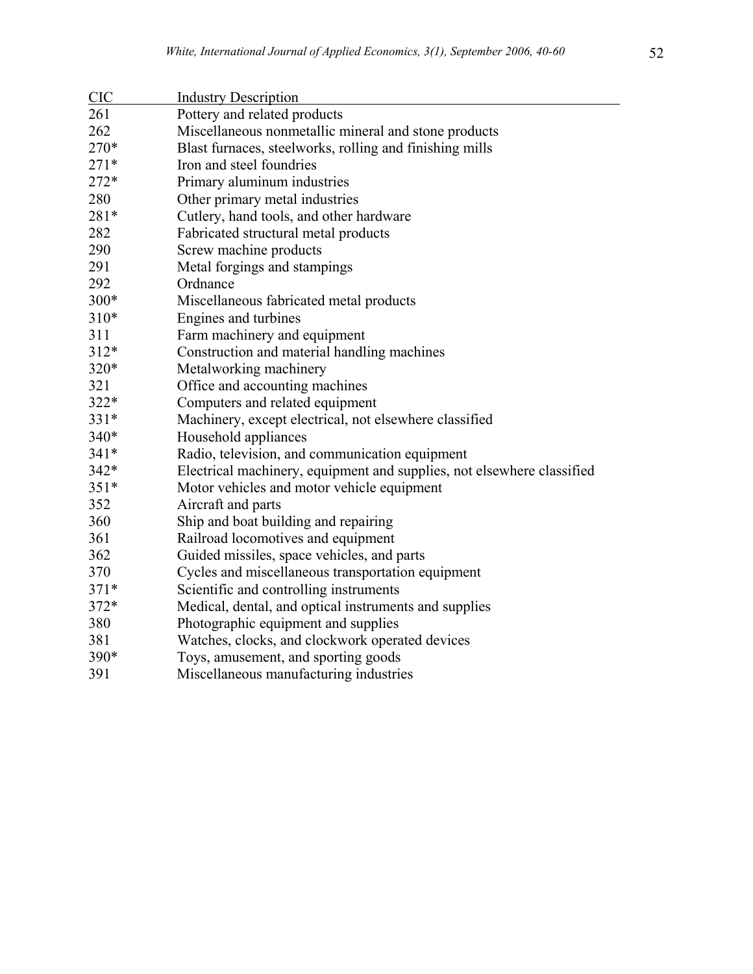| <b>CIC</b> | <b>Industry Description</b>                                            |
|------------|------------------------------------------------------------------------|
| 261        | Pottery and related products                                           |
| 262        | Miscellaneous nonmetallic mineral and stone products                   |
| 270*       | Blast furnaces, steelworks, rolling and finishing mills                |
| $271*$     | Iron and steel foundries                                               |
| 272*       | Primary aluminum industries                                            |
| 280        | Other primary metal industries                                         |
| 281*       | Cutlery, hand tools, and other hardware                                |
| 282        | Fabricated structural metal products                                   |
| 290        | Screw machine products                                                 |
| 291        | Metal forgings and stampings                                           |
| 292        | Ordnance                                                               |
| 300*       | Miscellaneous fabricated metal products                                |
| 310*       | Engines and turbines                                                   |
| 311        | Farm machinery and equipment                                           |
| 312*       | Construction and material handling machines                            |
| 320*       | Metalworking machinery                                                 |
| 321        | Office and accounting machines                                         |
| 322*       | Computers and related equipment                                        |
| 331*       | Machinery, except electrical, not elsewhere classified                 |
| 340*       | Household appliances                                                   |
| 341*       | Radio, television, and communication equipment                         |
| 342*       | Electrical machinery, equipment and supplies, not elsewhere classified |
| $351*$     | Motor vehicles and motor vehicle equipment                             |
| 352        | Aircraft and parts                                                     |
| 360        | Ship and boat building and repairing                                   |
| 361        | Railroad locomotives and equipment                                     |
| 362        | Guided missiles, space vehicles, and parts                             |
| 370        | Cycles and miscellaneous transportation equipment                      |
| $371*$     | Scientific and controlling instruments                                 |
| 372*       | Medical, dental, and optical instruments and supplies                  |
| 380        | Photographic equipment and supplies                                    |
| 381        | Watches, clocks, and clockwork operated devices                        |
| 390*       | Toys, amusement, and sporting goods                                    |
| 391        | Miscellaneous manufacturing industries                                 |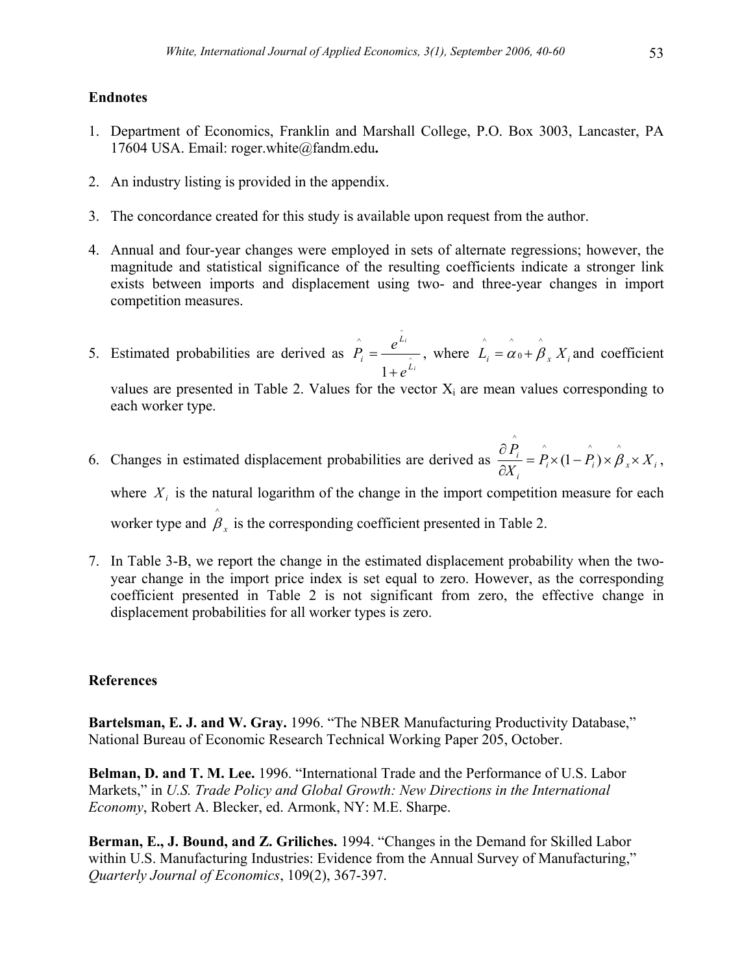# **Endnotes**

- 1. Department of Economics, Franklin and Marshall College, P.O. Box 3003, Lancaster, PA 17604 USA. Email: roger.white@fandm.edu**.**
- 2. An industry listing is provided in the appendix.
- 3. The concordance created for this study is available upon request from the author.
- 4. Annual and four-year changes were employed in sets of alternate regressions; however, the magnitude and statistical significance of the resulting coefficients indicate a stronger link exists between imports and displacement using two- and three-year changes in import competition measures.
- 5. Estimated probabilities are derived as *i i L L i e*  $\hat{P}_i = \frac{e^{\hat{L}_i}}{2}$ 1 ^ +  $=\frac{e^{Li}}{A}$ , where  $\hat{L}_i = \hat{\alpha}_0 + \hat{\beta}_x X_i$ 0  $\hat{L}_i = \hat{\alpha}_0 + \hat{\beta}_x X_i$  and coefficient

values are presented in Table 2. Values for the vector  $X_i$  are mean values corresponding to each worker type.

- 6. Changes in estimated displacement probabilities are derived as  $\frac{d}{dx} = P_i \times (1 P_i) \times \beta_x \times X_i$ *i*  $\frac{i}{f} = P_i \times (1 - P_i) \times \beta_{r} \times X$ *X*  $\frac{P_i}{\sigma} = \hat{P}_i \times (1 - \hat{P}_i) \times \hat{\beta}_x$ ∂  $\hat{\partial P}$   $\hat{P}$   $\hat{P}$   $\hat{P}$   $\hat{P}$   $\hat{P}$   $\hat{P}$  $(1 - P_i) \times \beta_{r} \times X_i$ , where  $X_i$  is the natural logarithm of the change in the import competition measure for each worker type and  $\hat{\beta}_x$  is the corresponding coefficient presented in Table 2.
- 7. In Table 3-B, we report the change in the estimated displacement probability when the twoyear change in the import price index is set equal to zero. However, as the corresponding coefficient presented in Table 2 is not significant from zero, the effective change in displacement probabilities for all worker types is zero.

# **References**

**Bartelsman, E. J. and W. Gray.** 1996. "The NBER Manufacturing Productivity Database," National Bureau of Economic Research Technical Working Paper 205, October.

**Belman, D. and T. M. Lee.** 1996. "International Trade and the Performance of U.S. Labor Markets," in *U.S. Trade Policy and Global Growth: New Directions in the International Economy*, Robert A. Blecker, ed. Armonk, NY: M.E. Sharpe.

**Berman, E., J. Bound, and Z. Griliches.** 1994. "Changes in the Demand for Skilled Labor within U.S. Manufacturing Industries: Evidence from the Annual Survey of Manufacturing," *Quarterly Journal of Economics*, 109(2), 367-397.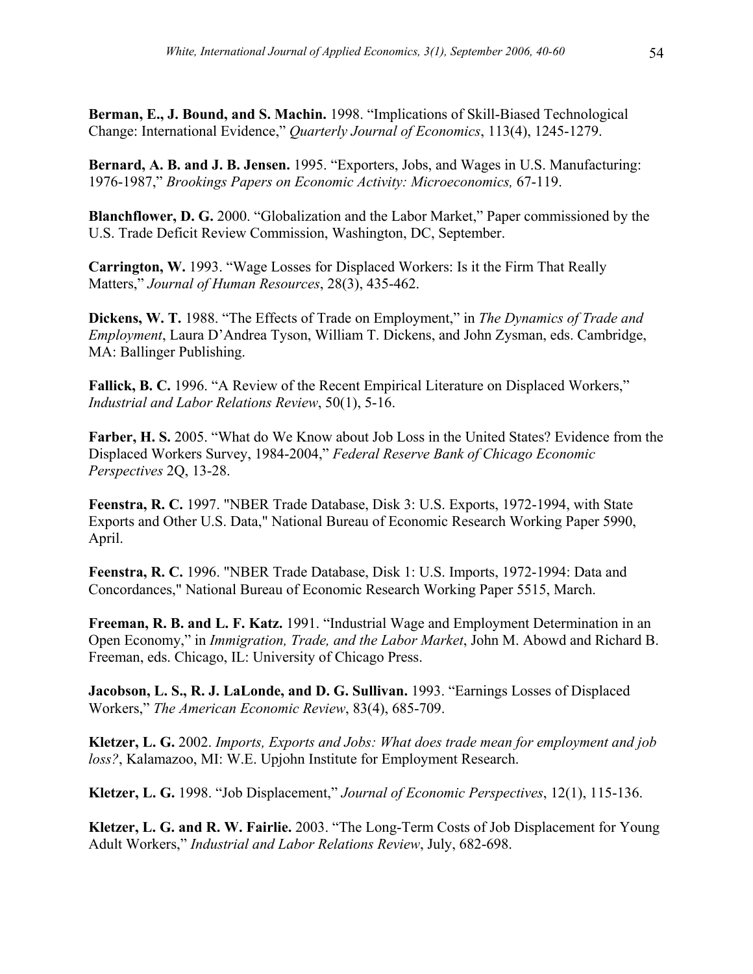**Berman, E., J. Bound, and S. Machin.** 1998. "Implications of Skill-Biased Technological Change: International Evidence," *Quarterly Journal of Economics*, 113(4), 1245-1279.

**Bernard, A. B. and J. B. Jensen.** 1995. "Exporters, Jobs, and Wages in U.S. Manufacturing: 1976-1987," *Brookings Papers on Economic Activity: Microeconomics,* 67-119.

**Blanchflower, D. G.** 2000. "Globalization and the Labor Market," Paper commissioned by the U.S. Trade Deficit Review Commission, Washington, DC, September.

**Carrington, W.** 1993. "Wage Losses for Displaced Workers: Is it the Firm That Really Matters," *Journal of Human Resources*, 28(3), 435-462.

**Dickens, W. T.** 1988. "The Effects of Trade on Employment," in *The Dynamics of Trade and Employment*, Laura D'Andrea Tyson, William T. Dickens, and John Zysman, eds. Cambridge, MA: Ballinger Publishing.

**Fallick, B. C.** 1996. "A Review of the Recent Empirical Literature on Displaced Workers," *Industrial and Labor Relations Review*, 50(1), 5-16.

**Farber, H. S.** 2005. "What do We Know about Job Loss in the United States? Evidence from the Displaced Workers Survey, 1984-2004," *Federal Reserve Bank of Chicago Economic Perspectives* 2Q, 13-28.

**Feenstra, R. C.** 1997. "NBER Trade Database, Disk 3: U.S. Exports, 1972-1994, with State Exports and Other U.S. Data," National Bureau of Economic Research Working Paper 5990, April.

**Feenstra, R. C.** 1996. "NBER Trade Database, Disk 1: U.S. Imports, 1972-1994: Data and Concordances," National Bureau of Economic Research Working Paper 5515, March.

**Freeman, R. B. and L. F. Katz.** 1991. "Industrial Wage and Employment Determination in an Open Economy," in *Immigration, Trade, and the Labor Market*, John M. Abowd and Richard B. Freeman, eds. Chicago, IL: University of Chicago Press.

**Jacobson, L. S., R. J. LaLonde, and D. G. Sullivan.** 1993. "Earnings Losses of Displaced Workers," *The American Economic Review*, 83(4), 685-709.

**Kletzer, L. G.** 2002. *Imports, Exports and Jobs: What does trade mean for employment and job loss?*, Kalamazoo, MI: W.E. Upjohn Institute for Employment Research.

**Kletzer, L. G.** 1998. "Job Displacement," *Journal of Economic Perspectives*, 12(1), 115-136.

**Kletzer, L. G. and R. W. Fairlie.** 2003. "The Long-Term Costs of Job Displacement for Young Adult Workers," *Industrial and Labor Relations Review*, July, 682-698.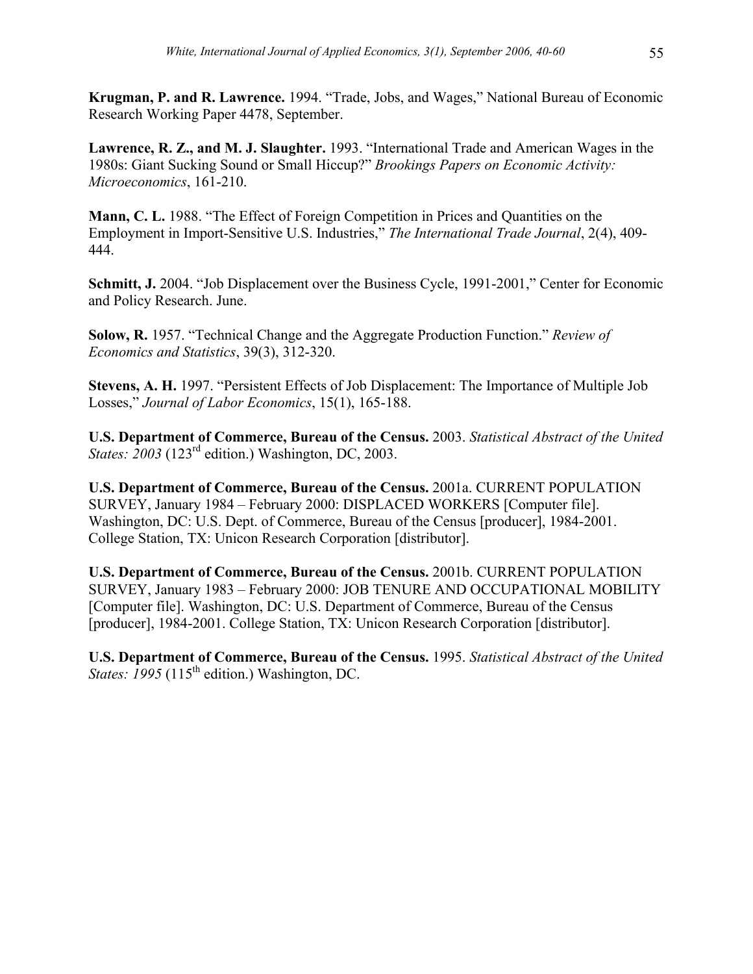**Krugman, P. and R. Lawrence.** 1994. "Trade, Jobs, and Wages," National Bureau of Economic Research Working Paper 4478, September.

**Lawrence, R. Z., and M. J. Slaughter.** 1993. "International Trade and American Wages in the 1980s: Giant Sucking Sound or Small Hiccup?" *Brookings Papers on Economic Activity: Microeconomics*, 161-210.

**Mann, C. L.** 1988. "The Effect of Foreign Competition in Prices and Quantities on the Employment in Import-Sensitive U.S. Industries," *The International Trade Journal*, 2(4), 409- 444.

Schmitt, J. 2004. "Job Displacement over the Business Cycle, 1991-2001," Center for Economic and Policy Research. June.

**Solow, R.** 1957. "Technical Change and the Aggregate Production Function." *Review of Economics and Statistics*, 39(3), 312-320.

**Stevens, A. H.** 1997. "Persistent Effects of Job Displacement: The Importance of Multiple Job Losses," *Journal of Labor Economics*, 15(1), 165-188.

**U.S. Department of Commerce, Bureau of the Census.** 2003. *Statistical Abstract of the United States: 2003* (123<sup>rd</sup> edition.) Washington, DC, 2003.

**U.S. Department of Commerce, Bureau of the Census.** 2001a. CURRENT POPULATION SURVEY, January 1984 – February 2000: DISPLACED WORKERS [Computer file]. Washington, DC: U.S. Dept. of Commerce, Bureau of the Census [producer], 1984-2001. College Station, TX: Unicon Research Corporation [distributor].

**U.S. Department of Commerce, Bureau of the Census.** 2001b. CURRENT POPULATION SURVEY, January 1983 – February 2000: JOB TENURE AND OCCUPATIONAL MOBILITY [Computer file]. Washington, DC: U.S. Department of Commerce, Bureau of the Census [producer], 1984-2001. College Station, TX: Unicon Research Corporation [distributor].

**U.S. Department of Commerce, Bureau of the Census.** 1995. *Statistical Abstract of the United*  States: 1995 (115<sup>th</sup> edition.) Washington, DC.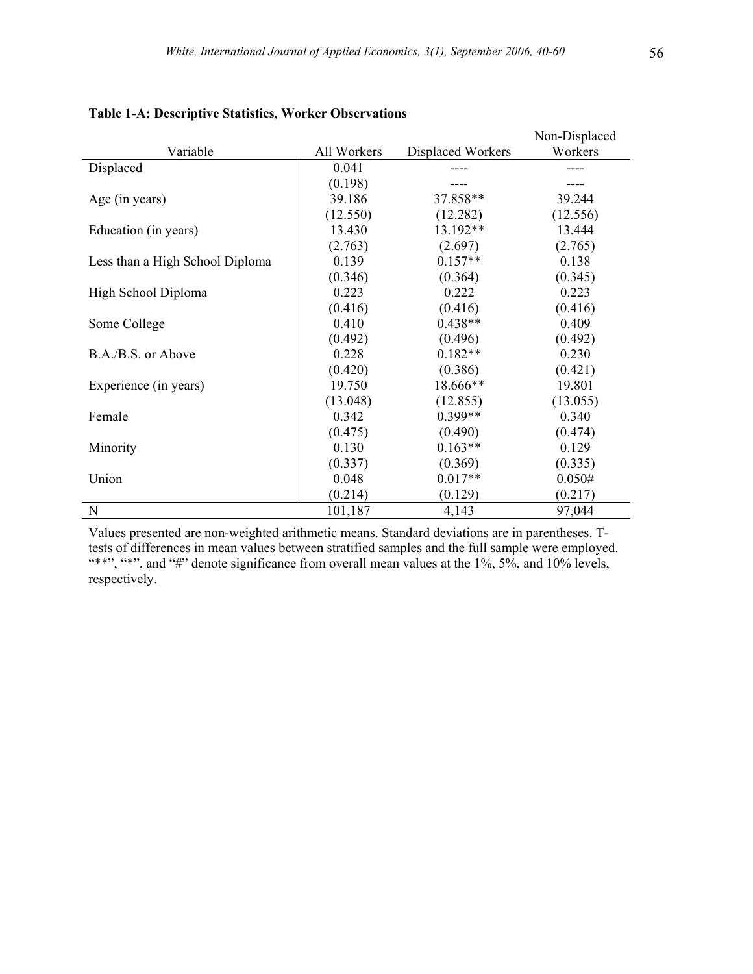|                                 |             |                   | Non-Displaced |
|---------------------------------|-------------|-------------------|---------------|
| Variable                        | All Workers | Displaced Workers | Workers       |
| Displaced                       | 0.041       |                   |               |
|                                 | (0.198)     |                   |               |
| Age (in years)                  | 39.186      | 37.858**          | 39.244        |
|                                 | (12.550)    | (12.282)          | (12.556)      |
| Education (in years)            | 13.430      | 13.192**          | 13.444        |
|                                 | (2.763)     | (2.697)           | (2.765)       |
| Less than a High School Diploma | 0.139       | $0.157**$         | 0.138         |
|                                 | (0.346)     | (0.364)           | (0.345)       |
| High School Diploma             | 0.223       | 0.222             | 0.223         |
|                                 | (0.416)     | (0.416)           | (0.416)       |
| Some College                    | 0.410       | $0.438**$         | 0.409         |
|                                 | (0.492)     | (0.496)           | (0.492)       |
| B.A./B.S. or Above              | 0.228       | $0.182**$         | 0.230         |
|                                 | (0.420)     | (0.386)           | (0.421)       |
| Experience (in years)           | 19.750      | 18.666**          | 19.801        |
|                                 | (13.048)    | (12.855)          | (13.055)      |
| Female                          | 0.342       | $0.399**$         | 0.340         |
|                                 | (0.475)     | (0.490)           | (0.474)       |
| Minority                        | 0.130       | $0.163**$         | 0.129         |
|                                 | (0.337)     | (0.369)           | (0.335)       |
| Union                           | 0.048       | $0.017**$         | 0.050#        |
|                                 | (0.214)     | (0.129)           | (0.217)       |
| N                               | 101,187     | 4,143             | 97,044        |

#### **Table 1-A: Descriptive Statistics, Worker Observations**

Values presented are non-weighted arithmetic means. Standard deviations are in parentheses. Ttests of differences in mean values between stratified samples and the full sample were employed. "\*\*", "\*", and "#" denote significance from overall mean values at the 1%,  $5\%$ , and 10% levels, respectively.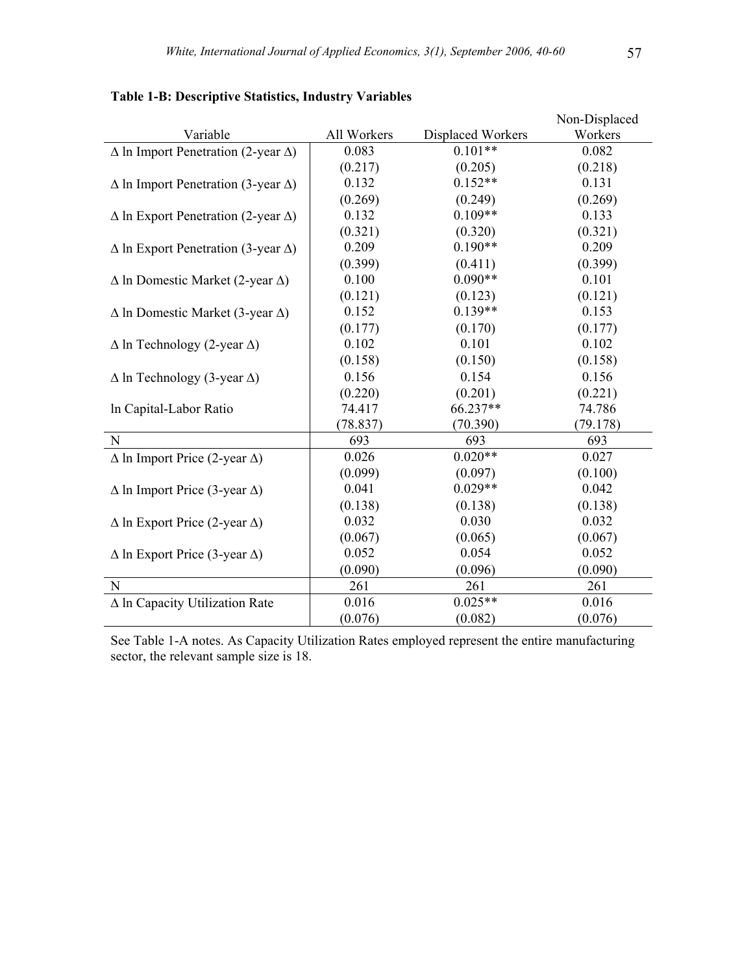| Variable                                          | All Workers | Displaced Workers | Non-Displaced<br>Workers |
|---------------------------------------------------|-------------|-------------------|--------------------------|
| $\Delta$ ln Import Penetration (2-year $\Delta$ ) | 0.083       | $0.101**$         | 0.082                    |
|                                                   | (0.217)     | (0.205)           | (0.218)                  |
| $\Delta$ In Import Penetration (3-year $\Delta$ ) | 0.132       | $0.152**$         | 0.131                    |
|                                                   | (0.269)     | (0.249)           | (0.269)                  |
| $\Delta$ ln Export Penetration (2-year $\Delta$ ) | 0.132       | $0.109**$         | 0.133                    |
|                                                   | (0.321)     | (0.320)           | (0.321)                  |
| $\Delta$ In Export Penetration (3-year $\Delta$ ) | 0.209       | $0.190**$         | 0.209                    |
|                                                   | (0.399)     | (0.411)           | (0.399)                  |
| $\Delta$ ln Domestic Market (2-year $\Delta$ )    | 0.100       | $0.090**$         | 0.101                    |
|                                                   | (0.121)     | (0.123)           | (0.121)                  |
| $\Delta$ ln Domestic Market (3-year $\Delta$ )    | 0.152       | $0.139**$         | 0.153                    |
|                                                   | (0.177)     | (0.170)           | (0.177)                  |
| $\Delta$ ln Technology (2-year $\Delta$ )         | 0.102       | 0.101             | 0.102                    |
|                                                   | (0.158)     | (0.150)           | (0.158)                  |
| $\Delta$ ln Technology (3-year $\Delta$ )         | 0.156       | 0.154             | 0.156                    |
|                                                   | (0.220)     | (0.201)           | (0.221)                  |
| In Capital-Labor Ratio                            | 74.417      | 66.237**          | 74.786                   |
|                                                   | (78.837)    | (70.390)          | (79.178)                 |
| N                                                 | 693         | 693               | 693                      |
| $\Delta$ ln Import Price (2-year $\Delta$ )       | 0.026       | $0.020**$         | 0.027                    |
|                                                   | (0.099)     | (0.097)           | (0.100)                  |
| $\Delta$ ln Import Price (3-year $\Delta$ )       | 0.041       | $0.029**$         | 0.042                    |
|                                                   | (0.138)     | (0.138)           | (0.138)                  |
| $\Delta$ ln Export Price (2-year $\Delta$ )       | 0.032       | 0.030             | 0.032                    |
|                                                   | (0.067)     | (0.065)           | (0.067)                  |
| $\Delta$ ln Export Price (3-year $\Delta$ )       | 0.052       | 0.054             | 0.052                    |
|                                                   | (0.090)     | (0.096)           | (0.090)                  |
| N                                                 | 261         | 261               | 261                      |
| $\Delta$ ln Capacity Utilization Rate             | 0.016       | $0.025**$         | 0.016                    |
|                                                   | (0.076)     | (0.082)           | (0.076)                  |

**Table 1-B: Descriptive Statistics, Industry Variables**

See Table 1-A notes. As Capacity Utilization Rates employed represent the entire manufacturing sector, the relevant sample size is 18.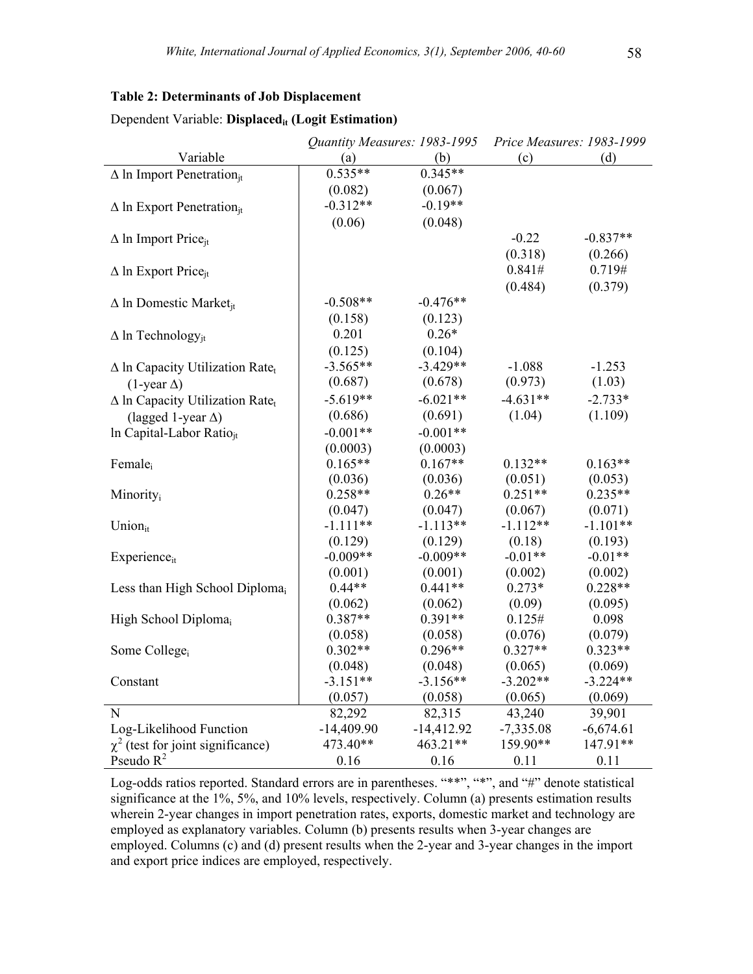#### **Table 2: Determinants of Job Displacement**

|                                                    | Quantity Measures: 1983-1995 |              |             | Price Measures: 1983-1999 |
|----------------------------------------------------|------------------------------|--------------|-------------|---------------------------|
| Variable                                           | (a)                          | (b)          | (c)         | (d)                       |
| $\Delta$ In Import Penetration <sub>it</sub>       | $0.535**$                    | $0.345**$    |             |                           |
|                                                    | (0.082)                      | (0.067)      |             |                           |
| $\Delta$ In Export Penetration <sub>it</sub>       | $-0.312**$                   | $-0.19**$    |             |                           |
|                                                    | (0.06)                       | (0.048)      |             |                           |
| $\Delta$ ln Import Price <sub>it</sub>             |                              |              | $-0.22$     | $-0.837**$                |
|                                                    |                              |              | (0.318)     | (0.266)                   |
| $\Delta$ ln Export Price <sub>it</sub>             |                              |              | 0.841#      | 0.719#                    |
|                                                    |                              |              | (0.484)     | (0.379)                   |
| $\Delta$ In Domestic Market <sub>it</sub>          | $-0.508**$                   | $-0.476**$   |             |                           |
|                                                    | (0.158)                      | (0.123)      |             |                           |
| $\Delta$ ln Technology <sub>it</sub>               | 0.201                        | $0.26*$      |             |                           |
|                                                    | (0.125)                      | (0.104)      |             |                           |
| $\Delta$ In Capacity Utilization Rate <sub>t</sub> | $-3.565**$                   | $-3.429**$   | $-1.088$    | $-1.253$                  |
| $(1$ -year $\Delta)$                               | (0.687)                      | (0.678)      | (0.973)     | (1.03)                    |
| $\Delta$ In Capacity Utilization Rate <sub>t</sub> | $-5.619**$                   | $-6.021**$   | $-4.631**$  | $-2.733*$                 |
| (lagged 1-year $\Delta$ )                          | (0.686)                      | (0.691)      | (1.04)      | (1.109)                   |
| In Capital-Labor Ratio <sub>it</sub>               | $-0.001**$                   | $-0.001**$   |             |                           |
|                                                    | (0.0003)                     | (0.0003)     |             |                           |
| Female <sub>i</sub>                                | $0.165**$                    | $0.167**$    | $0.132**$   | $0.163**$                 |
|                                                    | (0.036)                      | (0.036)      | (0.051)     | (0.053)                   |
| Minority <sub>i</sub>                              | $0.258**$                    | $0.26**$     | $0.251**$   | $0.235**$                 |
|                                                    | (0.047)                      | (0.047)      | (0.067)     | (0.071)                   |
| Union $_{it}$                                      | $-1.111**$                   | $-1.113**$   | $-1.112**$  | $-1.101**$                |
|                                                    | (0.129)                      | (0.129)      | (0.18)      | (0.193)                   |
| $Experience_{it}$                                  | $-0.009**$                   | $-0.009**$   | $-0.01**$   | $-0.01**$                 |
|                                                    | (0.001)                      | (0.001)      | (0.002)     | (0.002)                   |
| Less than High School Diploma <sub>i</sub>         | $0.44**$                     | $0.441**$    | $0.273*$    | $0.228**$                 |
|                                                    | (0.062)                      | (0.062)      | (0.09)      | (0.095)                   |
| High School Diploma <sub>i</sub>                   | $0.387**$                    | $0.391**$    | 0.125#      | 0.098                     |
|                                                    | (0.058)                      | (0.058)      | (0.076)     | (0.079)                   |
| Some College <sub>i</sub>                          | $0.302**$                    | $0.296**$    | $0.327**$   | $0.323**$                 |
|                                                    | (0.048)                      | (0.048)      | (0.065)     | (0.069)                   |
| Constant                                           | $-3.151**$                   | $-3.156**$   | $-3.202**$  | $-3.224**$                |
|                                                    | (0.057)                      | (0.058)      | (0.065)     | (0.069)                   |
| N                                                  | 82,292                       | 82,315       | 43,240      | 39,901                    |
| Log-Likelihood Function                            | $-14,409.90$                 | $-14,412.92$ | $-7,335.08$ | $-6,674.61$               |
| $\chi^2$ (test for joint significance)             | 473.40**                     | 463.21**     | 159.90**    | 147.91**                  |
| Pseudo $R^2$                                       | 0.16                         | 0.16         | 0.11        | 0.11                      |

#### Dependent Variable: Displaced<sub>it</sub> (Logit Estimation)

Log-odds ratios reported. Standard errors are in parentheses. "\*\*", "\*", and "#" denote statistical significance at the 1%, 5%, and 10% levels, respectively. Column (a) presents estimation results wherein 2-year changes in import penetration rates, exports, domestic market and technology are employed as explanatory variables. Column (b) presents results when 3-year changes are employed. Columns (c) and (d) present results when the 2-year and 3-year changes in the import and export price indices are employed, respectively.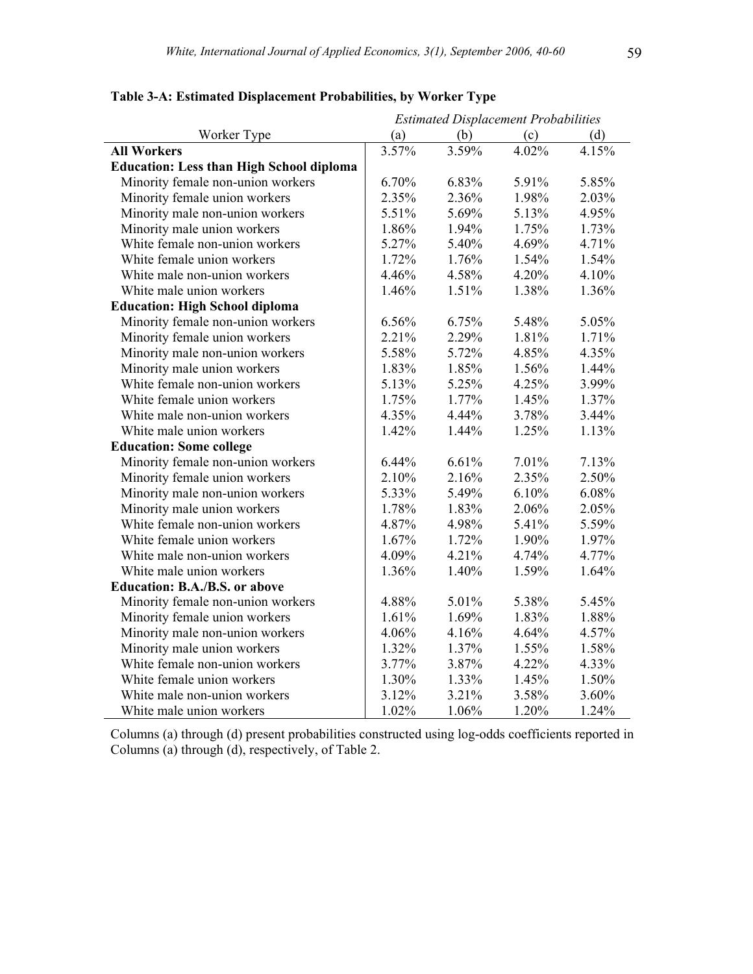|                                                 | <b>Estimated Displacement Probabilities</b> |       |       |       |
|-------------------------------------------------|---------------------------------------------|-------|-------|-------|
| Worker Type                                     | (a)                                         | (b)   | (c)   | (d)   |
| <b>All Workers</b>                              | 3.57%                                       | 3.59% | 4.02% | 4.15% |
| <b>Education: Less than High School diploma</b> |                                             |       |       |       |
| Minority female non-union workers               | 6.70%                                       | 6.83% | 5.91% | 5.85% |
| Minority female union workers                   | 2.35%                                       | 2.36% | 1.98% | 2.03% |
| Minority male non-union workers                 | 5.51%                                       | 5.69% | 5.13% | 4.95% |
| Minority male union workers                     | 1.86%                                       | 1.94% | 1.75% | 1.73% |
| White female non-union workers                  | 5.27%                                       | 5.40% | 4.69% | 4.71% |
| White female union workers                      | 1.72%                                       | 1.76% | 1.54% | 1.54% |
| White male non-union workers                    | 4.46%                                       | 4.58% | 4.20% | 4.10% |
| White male union workers                        | 1.46%                                       | 1.51% | 1.38% | 1.36% |
| <b>Education: High School diploma</b>           |                                             |       |       |       |
| Minority female non-union workers               | 6.56%                                       | 6.75% | 5.48% | 5.05% |
| Minority female union workers                   | 2.21%                                       | 2.29% | 1.81% | 1.71% |
| Minority male non-union workers                 | 5.58%                                       | 5.72% | 4.85% | 4.35% |
| Minority male union workers                     | 1.83%                                       | 1.85% | 1.56% | 1.44% |
| White female non-union workers                  | 5.13%                                       | 5.25% | 4.25% | 3.99% |
| White female union workers                      | 1.75%                                       | 1.77% | 1.45% | 1.37% |
| White male non-union workers                    | 4.35%                                       | 4.44% | 3.78% | 3.44% |
| White male union workers                        | 1.42%                                       | 1.44% | 1.25% | 1.13% |
| <b>Education: Some college</b>                  |                                             |       |       |       |
| Minority female non-union workers               | 6.44%                                       | 6.61% | 7.01% | 7.13% |
| Minority female union workers                   | 2.10%                                       | 2.16% | 2.35% | 2.50% |
| Minority male non-union workers                 | 5.33%                                       | 5.49% | 6.10% | 6.08% |
| Minority male union workers                     | 1.78%                                       | 1.83% | 2.06% | 2.05% |
| White female non-union workers                  | 4.87%                                       | 4.98% | 5.41% | 5.59% |
| White female union workers                      | 1.67%                                       | 1.72% | 1.90% | 1.97% |
| White male non-union workers                    | 4.09%                                       | 4.21% | 4.74% | 4.77% |
| White male union workers                        | 1.36%                                       | 1.40% | 1.59% | 1.64% |
| <b>Education: B.A./B.S. or above</b>            |                                             |       |       |       |
| Minority female non-union workers               | 4.88%                                       | 5.01% | 5.38% | 5.45% |
| Minority female union workers                   | 1.61%                                       | 1.69% | 1.83% | 1.88% |
| Minority male non-union workers                 | 4.06%                                       | 4.16% | 4.64% | 4.57% |
| Minority male union workers                     | 1.32%                                       | 1.37% | 1.55% | 1.58% |
| White female non-union workers                  | 3.77%                                       | 3.87% | 4.22% | 4.33% |
| White female union workers                      | 1.30%                                       | 1.33% | 1.45% | 1.50% |
| White male non-union workers                    | 3.12%                                       | 3.21% | 3.58% | 3.60% |
| White male union workers                        | 1.02%                                       | 1.06% | 1.20% | 1.24% |

# **Table 3-A: Estimated Displacement Probabilities, by Worker Type**

Columns (a) through (d) present probabilities constructed using log-odds coefficients reported in Columns (a) through (d), respectively, of Table 2.